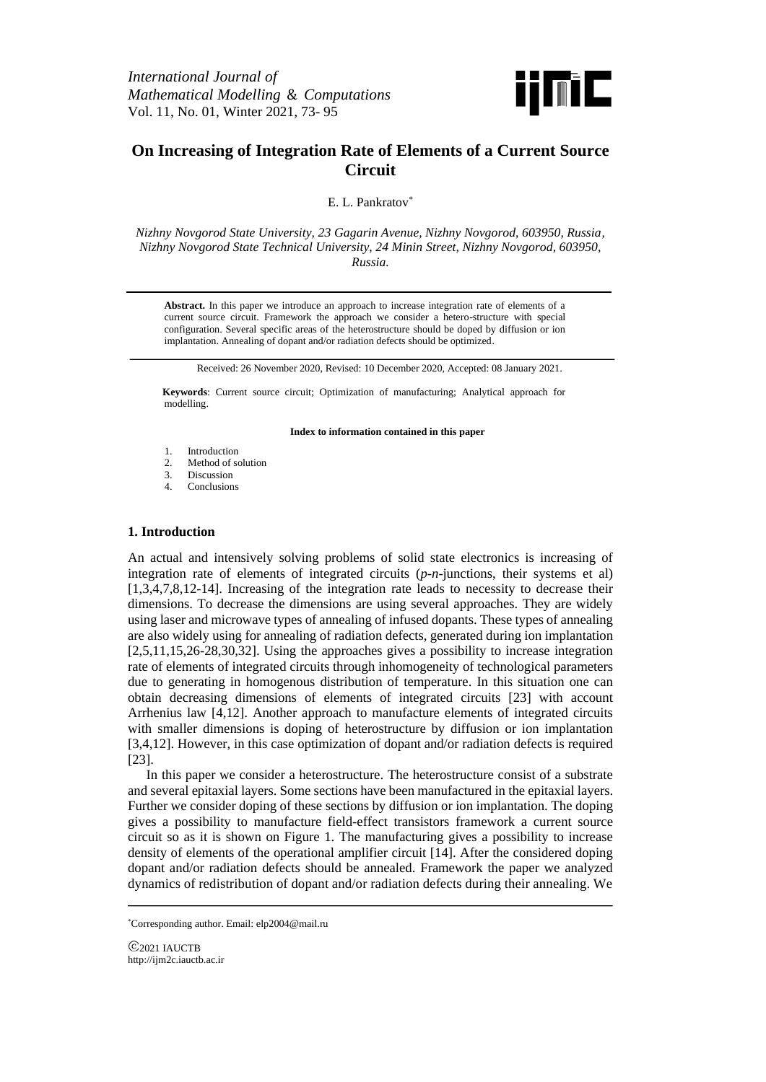

# **On Increasing of Integration Rate of Elements of a Current Source Circuit**

E. L. Pankratov<sup>\*</sup>

*Nizhny Novgorod State University, 23 Gagarin Avenue, Nizhny Novgorod, 603950, Russia, Nizhny Novgorod State Technical University, 24 Minin Street, Nizhny Novgorod, 603950, Russia.*

**Abstract.** In this paper we introduce an approach to increase integration rate of elements of a current source circuit. Framework the approach we consider a hetero-structure with special configuration. Several specific areas of the heterostructure should be doped by diffusion or ion implantation. Annealing of dopant and/or radiation defects should be optimized.

Received: 26 November 2020, Revised: 10 December 2020, Accepted: 08 January 2021.

**Keywords**: Current source circuit; Optimization of manufacturing; Analytical approach for modelling.

#### **Index to information contained in this paper**

- 1. Introduction
- 2. Method of solution
- 3. Discussion
- 4. Conclusions

## **1. Introduction**

An actual and intensively solving problems of solid state electronics is increasing of integration rate of elements of integrated circuits (*p*-*n*-junctions, their systems et al) [1,3,4,7,8,12-14]. Increasing of the integration rate leads to necessity to decrease their dimensions. To decrease the dimensions are using several approaches. They are widely using laser and microwave types of annealing of infused dopants. These types of annealing are also widely using for annealing of radiation defects, generated during ion implantation [2,5,11,15,26-28,30,32]. Using the approaches gives a possibility to increase integration rate of elements of integrated circuits through inhomogeneity of technological parameters due to generating in homogenous distribution of temperature. In this situation one can obtain decreasing dimensions of elements of integrated circuits [23] with account Arrhenius law [4,12]. Another approach to manufacture elements of integrated circuits with smaller dimensions is doping of heterostructure by diffusion or ion implantation [3,4,12]. However, in this case optimization of dopant and/or radiation defects is required [23].

In this paper we consider a heterostructure. The heterostructure consist of a substrate and several epitaxial layers. Some sections have been manufactured in the epitaxial layers. Further we consider doping of these sections by diffusion or ion implantation. The doping gives a possibility to manufacture field-effect transistors framework a current source circuit so as it is shown on Figure 1. The manufacturing gives a possibility to increase density of elements of the operational amplifier circuit [14]. After the considered doping dopant and/or radiation defects should be annealed. Framework the paper we analyzed dynamics of redistribution of dopant and/or radiation defects during their annealing. We

<sup>\*</sup>Corresponding author. Email: elp2004@mail.ru

<sup>2021</sup> IAUCTB http://ijm2c.iauctb.ac.ir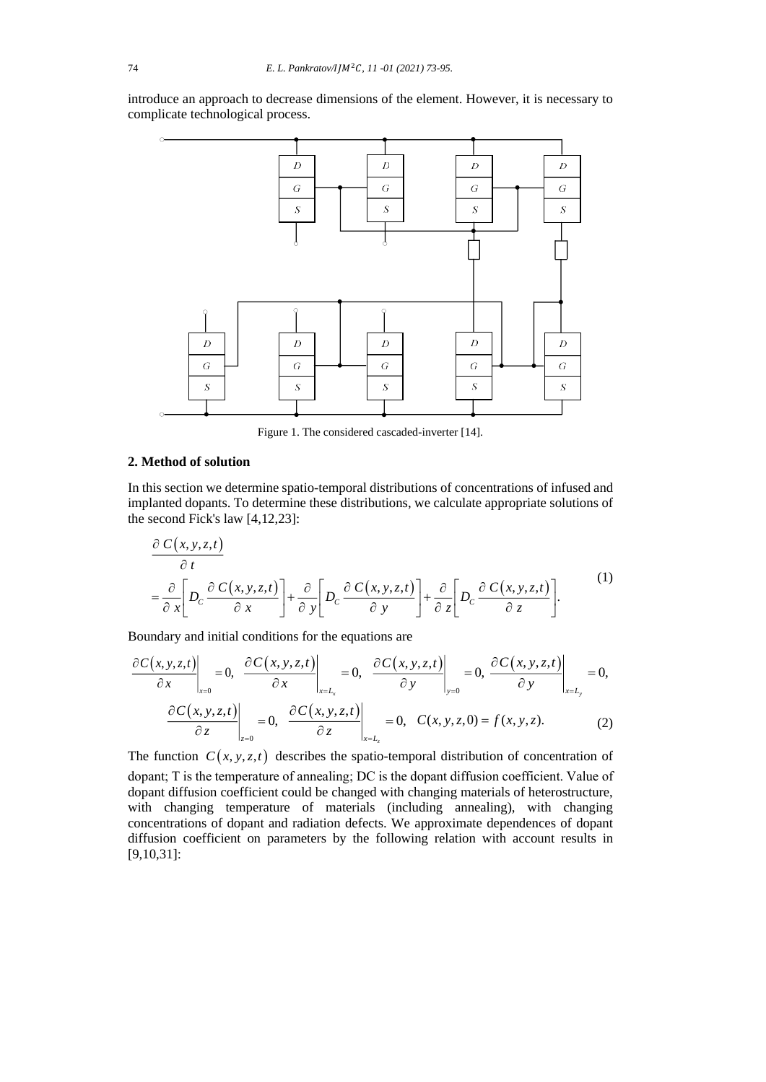introduce an approach to decrease dimensions of the element. However, it is necessary to complicate technological process.



Figure 1. The considered cascaded-inverter [14].

## **2. Method of solution**

In this section we determine spatio-temporal distributions of concentrations of infused and implanted dopants. To determine these distributions, we calculate appropriate solutions of the second Fick's law [4,12,23]:  $\frac{c}{c}$  dopan<br>*cond Fick's* 

$$
\frac{\partial C(x, y, z, t)}{\partial t} = \frac{\partial}{\partial x} \left[ D_c \frac{\partial C(x, y, z, t)}{\partial x} \right] + \frac{\partial}{\partial y} \left[ D_c \frac{\partial C(x, y, z, t)}{\partial y} \right] + \frac{\partial}{\partial z} \left[ D_c \frac{\partial C(x, y, z, t)}{\partial z} \right].
$$
\n(1)

Boundary and initial conditions for the equations are

$$
\frac{\partial C(x, y, z, t)}{\partial x}\bigg|_{x=0} = 0, \quad \frac{\partial C(x, y, z, t)}{\partial x}\bigg|_{x=L_x} = 0, \quad \frac{\partial C(x, y, z, t)}{\partial y}\bigg|_{y=0} = 0, \quad \frac{\partial C(x, y, z, t)}{\partial y}\bigg|_{x=L_y} = 0,
$$
\n
$$
\frac{\partial C(x, y, z, t)}{\partial z}\bigg|_{z=0} = 0, \quad \frac{\partial C(x, y, z, t)}{\partial z}\bigg|_{x=L_z} = 0, \quad C(x, y, z, 0) = f(x, y, z). \tag{2}
$$

The function  $C(x, y, z, t)$  describes the spatio-temporal distribution of concentration of dopant; T is the temperature of annealing; DС is the dopant diffusion coefficient. Value of dopant diffusion coefficient could be changed with changing materials of heterostructure, with changing temperature of materials (including annealing), with changing concentrations of dopant and radiation defects. We approximate dependences of dopant diffusion coefficient on parameters by the following relation with account results in

[9,10,31]: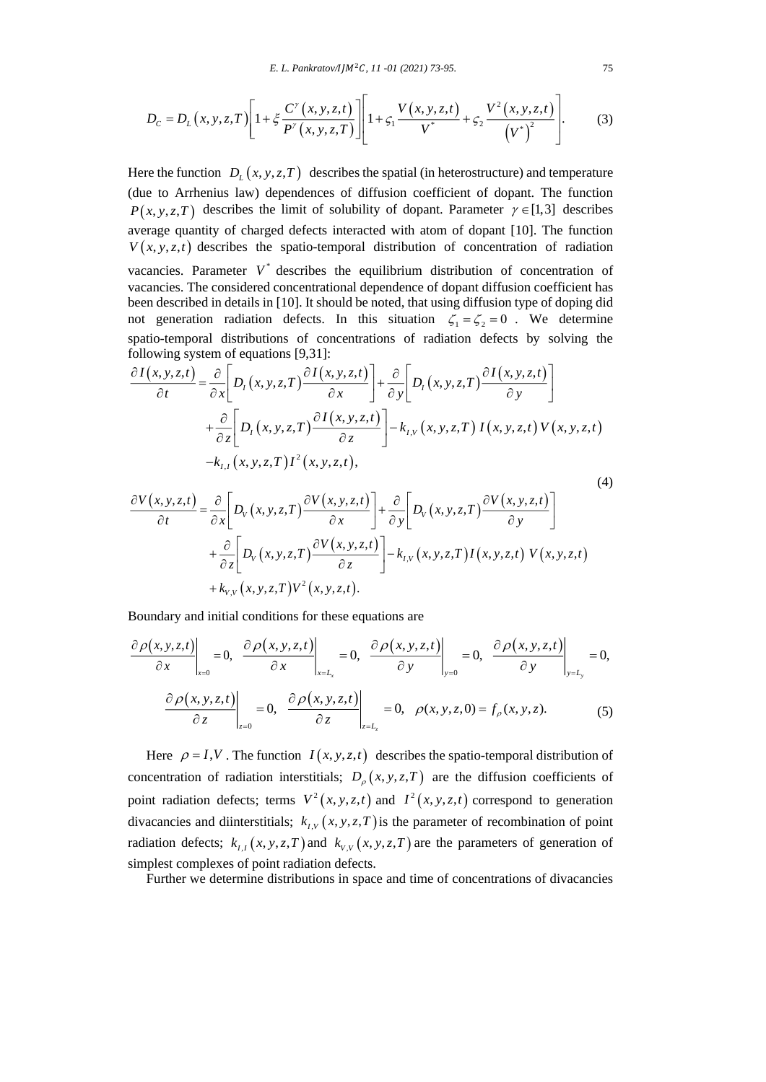$$
D_{c} = D_{L}(x, y, z, T) \left[ 1 + \xi \frac{C^{y}(x, y, z, t)}{P^{y}(x, y, z, T)} \right] \left[ 1 + \zeta_{1} \frac{V(x, y, z, t)}{V^{*}} + \zeta_{2} \frac{V^{2}(x, y, z, t)}{(V^{*})^{2}} \right].
$$
 (3)

Here the function  $D_{L}(x, y, z, T)$  describes the spatial (in heterostructure) and temperature (due to Arrhenius law) dependences of diffusion coefficient of dopant. The function  $P(x, y, z, T)$  describes the limit of solubility of dopant. Parameter  $\gamma \in [1,3]$  describes average quantity of charged defects interacted with atom of dopant [10]. The function  $V(x, y, z, t)$  describes the spatio-temporal distribution of concentration of radiation vacancies. Parameter  $V^*$  describes the equilibrium distribution of concentration of vacancies. The considered concentrational dependence of dopant diffusion coefficient has been described in details in [10]. It should be noted, that using diffusion type of doping did not generation radiation defects. In this situation  $\zeta_1 = \zeta_2 = 0$ . We determine spatio-temporal distributions of concentrations of radiation defects by solving the following system of equations [9,31]:

$$
\frac{\partial I(x, y, z, t)}{\partial t} = \frac{\partial}{\partial x} \bigg[ D_I(x, y, z, T) \frac{\partial I(x, y, z, t)}{\partial x} \bigg] + \frac{\partial}{\partial y} \bigg[ D_I(x, y, z, T) \frac{\partial I(x, y, z, t)}{\partial y} \bigg] \n+ \frac{\partial}{\partial z} \bigg[ D_I(x, y, z, T) \frac{\partial I(x, y, z, t)}{\partial z} \bigg] - k_{I,V}(x, y, z, T) I(x, y, z, t) V(x, y, z, t) \n- k_{I,I}(x, y, z, T) I^2(x, y, z, t),
$$
\n(4)

$$
\frac{\partial V(x, y, z, t)}{\partial t} = \frac{\partial}{\partial x} \left[ D_V(x, y, z, T) \frac{\partial V(x, y, z, t)}{\partial x} \right] + \frac{\partial}{\partial y} \left[ D_V(x, y, z, T) \frac{\partial V(x, y, z, t)}{\partial y} \right]
$$
  
+ 
$$
\frac{\partial}{\partial z} \left[ D_V(x, y, z, T) \frac{\partial V(x, y, z, t)}{\partial z} \right] - k_{I,V}(x, y, z, T) I(x, y, z, t) V(x, y, z, t)
$$
  
+ 
$$
k_{V,V}(x, y, z, T) V^2(x, y, z, t).
$$

Boundary and initial conditions for these equations are

$$
\frac{\partial \rho(x, y, z, t)}{\partial x}\Big|_{x=0} = 0, \quad \frac{\partial \rho(x, y, z, t)}{\partial x}\Big|_{x=L_x} = 0, \quad \frac{\partial \rho(x, y, z, t)}{\partial y}\Big|_{y=0} = 0, \quad \frac{\partial \rho(x, y, z, t)}{\partial y}\Big|_{y=L_y} = 0,
$$
\n
$$
\frac{\partial \rho(x, y, z, t)}{\partial z}\Big|_{z=0} = 0, \quad \frac{\partial \rho(x, y, z, t)}{\partial z}\Big|_{z=L_z} = 0, \quad \rho(x, y, z, 0) = f_{\rho}(x, y, z). \tag{5}
$$

Here  $\rho = I, V$ . The function  $I(x, y, z, t)$  describes the spatio-temporal distribution of concentration of radiation interstitials;  $D_{\rho}(x, y, z, T)$  are the diffusion coefficients of point radiation defects; terms  $V^2(x, y, z, t)$  and  $I^2(x, y, z, t)$  correspond to generation divacancies and diinterstitials;  $k_{I,V}(x, y, z, T)$  is the parameter of recombination of point radiation defects;  $k_{I,I}(x, y, z, T)$  and  $k_{V,V}(x, y, z, T)$  are the parameters of generation of simplest complexes of point radiation defects.

Further we determine distributions in space and time of concentrations of divacancies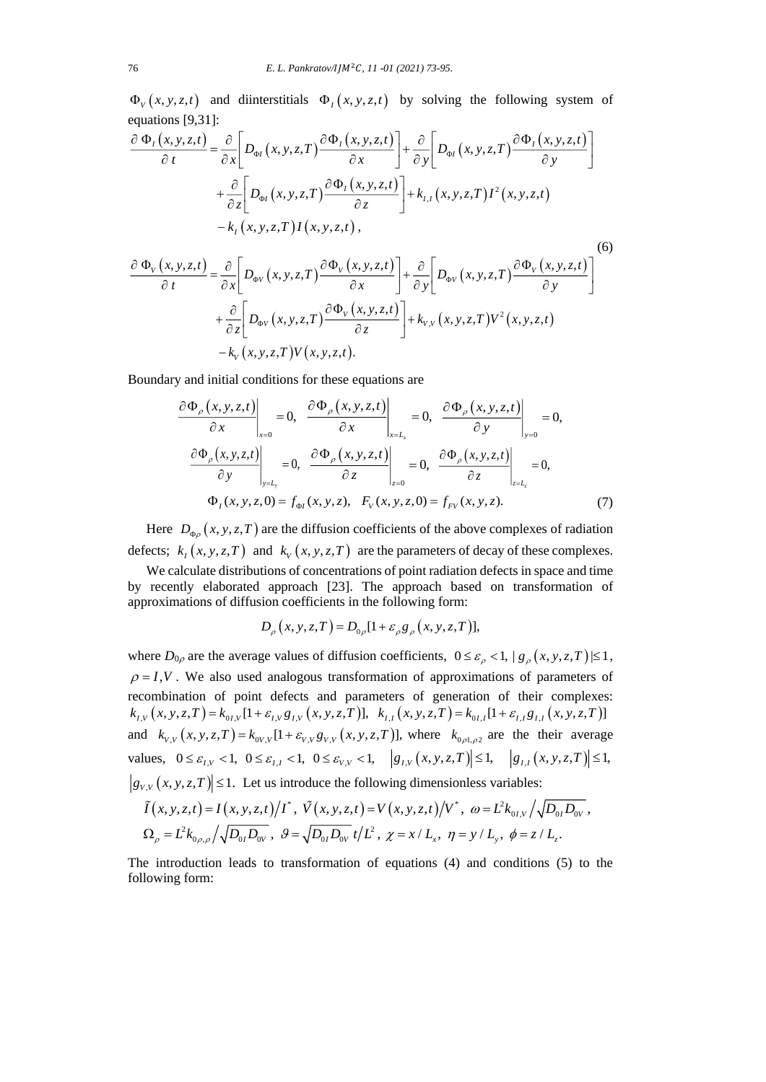$\Phi_{V}(x, y, z, t)$  and diinterstitials  $\Phi_{I}(x, y, z, t)$  by solving the following system of equations [9,31]:

$$
\frac{\partial \Phi_{I}(x, y, z, t)}{\partial t} = \frac{\partial}{\partial x} \Bigg[ D_{\phi I}(x, y, z, T) \frac{\partial \Phi_{I}(x, y, z, t)}{\partial x} \Bigg] + \frac{\partial}{\partial y} \Bigg[ D_{\phi I}(x, y, z, T) \frac{\partial \Phi_{I}(x, y, z, t)}{\partial y} \Bigg] + \frac{\partial}{\partial z} \Bigg[ D_{\phi I}(x, y, z, T) \frac{\partial \Phi_{I}(x, y, z, t)}{\partial z} \Bigg] + k_{I, I}(x, y, z, T) I^{2}(x, y, z, t) - k_{I}(x, y, z, T) I(x, y, z, t), \tag{6}
$$

$$
\frac{\partial \Phi_{V}(x, y, z, t)}{\partial t} = \frac{\partial}{\partial x} \left[ D_{\Phi V}(x, y, z, T) \frac{\partial \Phi_{V}(x, y, z, t)}{\partial x} \right] + \frac{\partial}{\partial y} \left[ D_{\Phi V}(x, y, z, T) \frac{\partial \Phi_{V}(x, y, z, t)}{\partial y} \right]
$$

$$
+ \frac{\partial}{\partial z} \left[ D_{\Phi V}(x, y, z, T) \frac{\partial \Phi_{V}(x, y, z, t)}{\partial z} \right] + k_{V,V}(x, y, z, T) V^{2}(x, y, z, t)
$$

$$
- k_{V}(x, y, z, T) V(x, y, z, t).
$$

Boundary and initial conditions for these equations are

$$
\frac{\partial \Phi_{\rho}(x, y, z, t)}{\partial x}\Big|_{x=0} = 0, \quad \frac{\partial \Phi_{\rho}(x, y, z, t)}{\partial x}\Big|_{x=L_{x}} = 0, \quad \frac{\partial \Phi_{\rho}(x, y, z, t)}{\partial y}\Big|_{y=0} = 0,
$$
\n
$$
\frac{\partial \Phi_{\rho}(x, y, z, t)}{\partial y}\Big|_{y=L_{y}} = 0, \quad \frac{\partial \Phi_{\rho}(x, y, z, t)}{\partial z}\Big|_{z=0} = 0, \quad \frac{\partial \Phi_{\rho}(x, y, z, t)}{\partial z}\Big|_{z=L_{z}} = 0,
$$
\n
$$
\Phi_{I}(x, y, z, 0) = f_{\Phi I}(x, y, z), \quad F_{V}(x, y, z, 0) = f_{F V}(x, y, z). \tag{7}
$$

Here  $D_{\phi} (x, y, z, T)$  are the diffusion coefficients of the above complexes of radiation defects;  $k_1(x, y, z, T)$  and  $k_v(x, y, z, T)$  are the parameters of decay of these complexes.

We calculate distributions of concentrations of point radiation defects in space and time by recently elaborated approach [23]. The approach based on transformation of approximations of diffusion coefficients in the following form:<br> $D_{\rho}(x, y, z, T) = D_{0\rho}[1 + \varepsilon_{\rho} g_{\rho}(x, y, z, T)],$ 

$$
D_{\rho}(x, y, z, T) = D_{0\rho}[1 + \varepsilon_{\rho} g_{\rho}(x, y, z, T)],
$$

where  $D_{0\rho}$  are the average values of diffusion coefficients,  $0 \le \varepsilon_{\rho} < 1$ ,  $|g_{\rho}(x, y, z, T)| \le 1$ ,  $\rho = I$ , *V*. We also used analogous transformation of approximations of parameters of recombination of point defects and parameters of generation of their complexes: recombination of point defects and parameters of generation of their complexes  $k_{I,V}(x, y, z, T) = k_{0I,V}[1 + \varepsilon_{I,V}g_{I,V}(x, y, z, T)], k_{I,I}(x, y, z, T) = k_{0I,I}[1 + \varepsilon_{I,I}g_{I,I}(x, y, z, T)]$ and  $k_{v,v}(x, y, z, T) = k_{0v,v}[1 + \varepsilon_{v,v} g_{v,v}(x, y, z, T)]$ , where  $k_{0,0,0,0,0}$  are the their average values,  $0 \le \varepsilon_{I,V} < 1$ ,  $0 \le \varepsilon_{I,V} < 1$ ,  $0 \le \varepsilon_{V,V} < 1$ ,  $|g_{I,V}(x, y, z, T)| \le 1$ ,  $|g_{I,V}(x, y, z, T)| \le 1$ ,  $g_{v,v}(x, y, z, T) \leq 1$ . Let us introduce the following dimensionless variables:<br>  $\tilde{I}(x, y, z, t) = I(x, y, z, t)/T^*$ ,  $\tilde{V}(x, y, z, t) = V(x, y, z, t)/V^*$ ,  $\omega = L^2 k_{\omega V}/\sqrt{2}$ des,  $0 \le \varepsilon_{I,V} < 1$ ,  $0 \le \varepsilon_{I,I} < 1$ ,  $0 \le \varepsilon_{V,V} < 1$ ,  $|g_{I,V}(x, y, z, I)| \le 1$ ,  $|g_{I,I}(x, y, z, I)| \le$ <br>  $\tilde{I}(x, y, z, I) \le 1$ . Let us introduce the following dimensionless variables:<br>  $\tilde{I}(x, y, z, t) = I(x, y, z, t) / I^*$ ,  $\tilde{V}(x,$ 1,  $|g_{I,V}(x, y, z, I)| \le 1$ ,  $|g_{I,I}(x, z, t)|$ <br>Ilowing dimensionless variables:<br> $= V(x, y, z, t) / V^*$ ,  $\omega = L^2 k_{0I,V} / \sqrt{I}$ 

$$
\tilde{I}(x, y, z, t) = I(x, y, z, t) / I^*, \quad \tilde{V}(x, y, z, t) = V(x, y, z, t) / V^*, \quad \omega = L^2 k_{0I, V} / \sqrt{D_{0I} D_{0V}},
$$
\n
$$
\Omega_{\rho} = L^2 k_{0\rho, \rho} / \sqrt{D_{0I} D_{0V}}, \quad \mathcal{G} = \sqrt{D_{0I} D_{0V}} t / L^2, \quad \chi = x / L_x, \quad \eta = y / L_y, \quad \phi = z / L_z.
$$

The introduction leads to transformation of equations (4) and conditions (5) to the following form: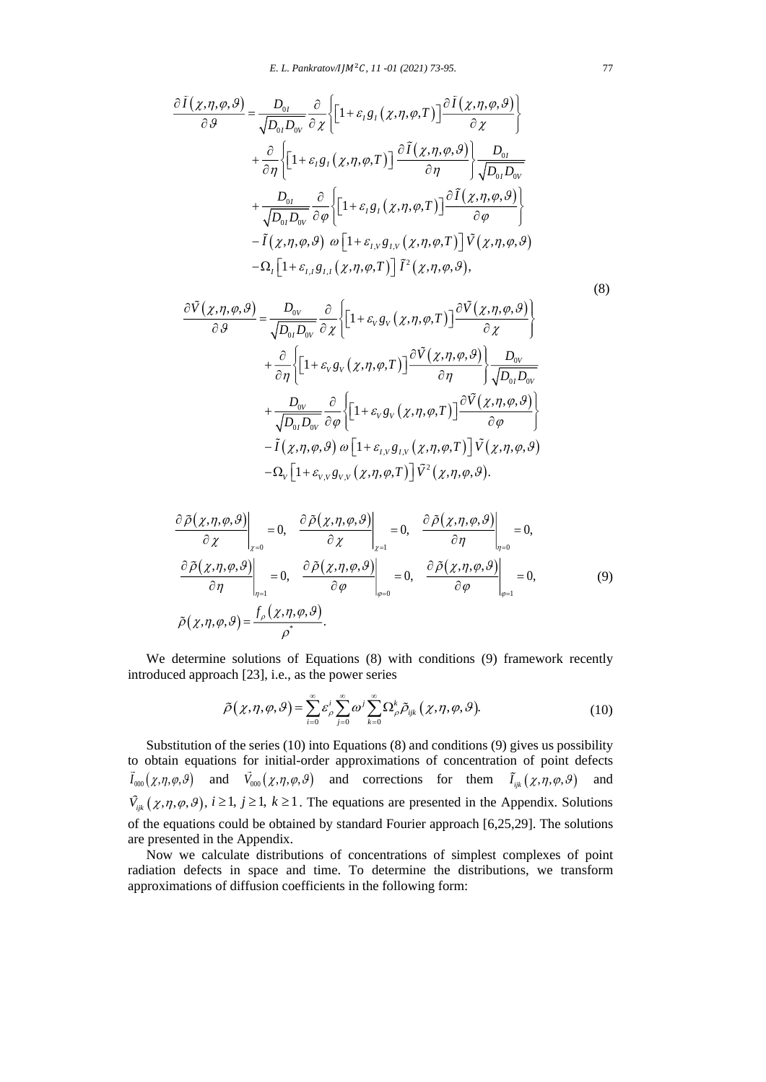$$
\frac{\partial \tilde{I}(\chi,\eta,\varphi,\vartheta)}{\partial \vartheta} = \frac{D_{0I}}{\sqrt{D_{0I}D_{0V}}} \frac{\partial}{\partial \chi} \Biggl\{ \Biggl[ 1 + \varepsilon_I g_I(\chi,\eta,\varphi,T) \Biggr] \frac{\partial \tilde{I}(\chi,\eta,\varphi,\vartheta)}{\partial \chi} \Biggr\} \n+ \frac{\partial}{\partial \eta} \Biggl\{ \Biggl[ 1 + \varepsilon_I g_I(\chi,\eta,\varphi,T) \Biggr] \frac{\partial \tilde{I}(\chi,\eta,\varphi,\vartheta)}{\partial \eta} \Biggr\} \frac{D_{0I}}{\sqrt{D_{0I}D_{0V}}} \n+ \frac{D_{0I}}{\sqrt{D_{0I}D_{0V}}} \frac{\partial}{\partial \varphi} \Biggl\{ \Biggl[ 1 + \varepsilon_I g_I(\chi,\eta,\varphi,T) \Biggr] \frac{\partial \tilde{I}(\chi,\eta,\varphi,\vartheta)}{\partial \varphi} \Biggr\} \n- \tilde{I}(\chi,\eta,\varphi,\vartheta) \omega \Biggl[ 1 + \varepsilon_{I,V} g_{I,V}(\chi,\eta,\varphi,T) \Biggr] \tilde{V}(\chi,\eta,\varphi,\vartheta) \n- \Omega_I \Biggl[ 1 + \varepsilon_{I,I} g_{I,I}(\chi,\eta,\varphi,T) \Biggr] \tilde{I}^2(\chi,\eta,\varphi,\vartheta),
$$

$$
(8)
$$

$$
\frac{\partial \tilde{V}(\chi,\eta,\varphi,\vartheta)}{\partial \vartheta} = \frac{D_{0V}}{\sqrt{D_{0I}D_{0V}}} \frac{\partial}{\partial \chi} \Biggl[ 1 + \varepsilon_{V}g_{V}(\chi,\eta,\varphi,T) \Biggr] \frac{\partial \tilde{V}(\chi,\eta,\varphi,\vartheta)}{\partial \chi} \Biggr\rbrace
$$
  
+ 
$$
\frac{\partial}{\partial \eta} \Biggl\{ \Biggl[ 1 + \varepsilon_{V}g_{V}(\chi,\eta,\varphi,T) \Biggr] \frac{\partial \tilde{V}(\chi,\eta,\varphi,\vartheta)}{\partial \eta} \Biggr\} \frac{D_{0V}}{\sqrt{D_{0I}D_{0V}}} + \frac{D_{0V}}{\sqrt{D_{0I}D_{0V}}} \frac{\partial}{\partial \varphi} \Biggl\{ \Biggl[ 1 + \varepsilon_{V}g_{V}(\chi,\eta,\varphi,T) \Biggr] \frac{\partial \tilde{V}(\chi,\eta,\varphi,\vartheta)}{\partial \varphi} \Biggr\} \frac{D_{0V}}{\partial \varphi} \\- \tilde{I}(\chi,\eta,\varphi,\vartheta) \omega \Biggl[ 1 + \varepsilon_{I,V}g_{I,V}(\chi,\eta,\varphi,T) \Biggr] \tilde{V}(\chi,\eta,\varphi,\vartheta) \\- \Omega_{V} \Biggl[ 1 + \varepsilon_{V,V}g_{V,V}(\chi,\eta,\varphi,T) \Biggr] \tilde{V}^{2}(\chi,\eta,\varphi,\vartheta). \Biggr.
$$

$$
\frac{\partial \tilde{\rho}(\chi,\eta,\varphi,\vartheta)}{\partial \chi}\Big|_{\chi=0} = 0, \quad \frac{\partial \tilde{\rho}(\chi,\eta,\varphi,\vartheta)}{\partial \chi}\Big|_{\chi=1} = 0, \quad \frac{\partial \tilde{\rho}(\chi,\eta,\varphi,\vartheta)}{\partial \eta}\Big|_{\eta=0} = 0,
$$
\n
$$
\frac{\partial \tilde{\rho}(\chi,\eta,\varphi,\vartheta)}{\partial \eta}\Big|_{\eta=1} = 0, \quad \frac{\partial \tilde{\rho}(\chi,\eta,\varphi,\vartheta)}{\partial \varphi}\Big|_{\varphi=0} = 0, \quad \frac{\partial \tilde{\rho}(\chi,\eta,\varphi,\vartheta)}{\partial \varphi}\Big|_{\varphi=1} = 0,
$$
\n
$$
\tilde{\rho}(\chi,\eta,\varphi,\vartheta) = \frac{f_{\rho}(\chi,\eta,\varphi,\vartheta)}{\rho^*}.
$$
\n(9)

We determine solutions of Equations (8) with conditions (9) framework recently introduced approach [23], i.e., as the power series

$$
\tilde{\rho}(\chi,\eta,\varphi,\vartheta) = \sum_{i=0}^{\infty} \varepsilon_{\rho}^{i} \sum_{j=0}^{\infty} \omega^{j} \sum_{k=0}^{\infty} \Omega_{\rho}^{k} \tilde{\rho}_{ijk}(\chi,\eta,\varphi,\vartheta).
$$
\n(10)

Substitution of the series (10) into Equations (8) and conditions (9) gives us possibility to obtain equations for initial-order approximations of concentration of point defects  $\tilde{I}_{000}(\chi,\eta,\varphi,\vartheta)$  and  $\tilde{V}_{000}(\chi,\eta,\varphi,\vartheta)$  and corrections for them  $\tilde{I}_{ijk}(\chi,\eta,\varphi,\vartheta)$  and  $\tilde{V}_{ijk}(\chi,\eta,\varphi,\vartheta), i \ge 1, j \ge 1, k \ge 1$ . The equations are presented in the Appendix. Solutions of the equations could be obtained by standard Fourier approach [6,25,29]. The solutions are presented in the Appendix.

Now we calculate distributions of concentrations of simplest complexes of point radiation defects in space and time. To determine the distributions, we transform approximations of diffusion coefficients in the following form: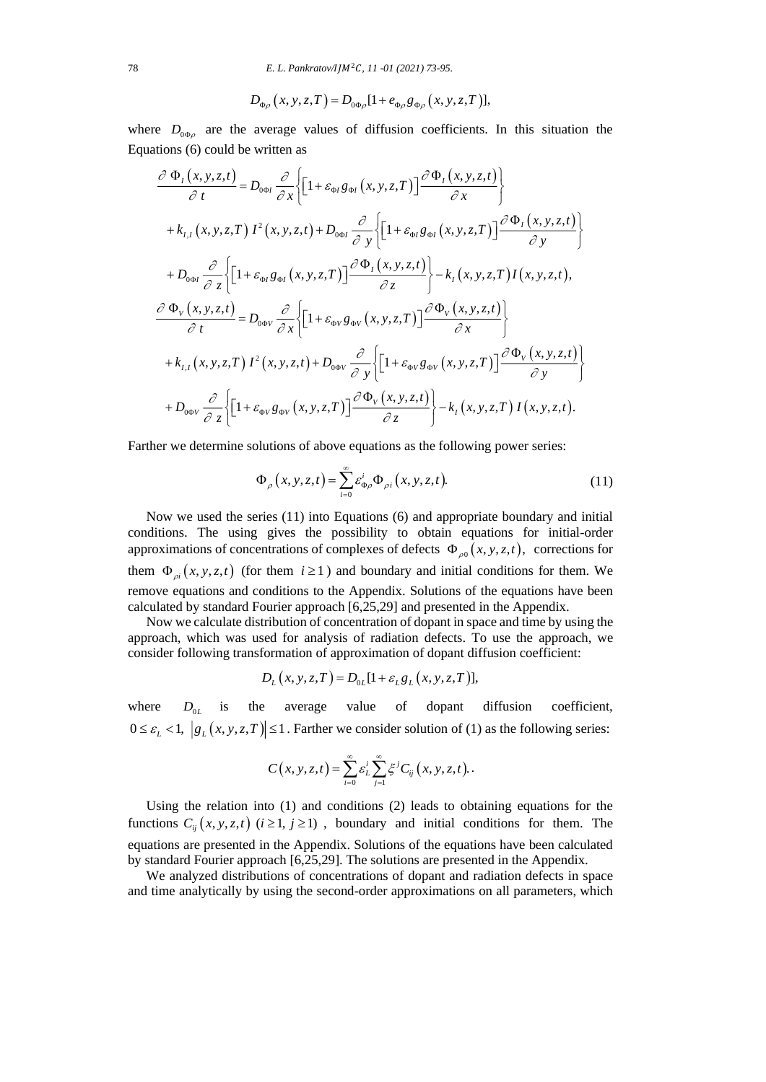$$
D_{\Phi\rho}\left(x,y,z,T\right) = D_{0\Phi\rho}[1 + e_{\Phi\rho}g_{\Phi\rho}\left(x,y,z,T\right)],
$$

where  $D_{0\Phi\rho}$  are the average values of diffusion coefficients. In this situation the Equations (6) could be written as

$$
\frac{\partial \Phi_{I}(x,y,z,t)}{\partial t} = D_{0\phi I} \frac{\partial}{\partial x} \Biggl\{ \Biggl[ 1 + \varepsilon_{\phi I} g_{\phi I}(x,y,z,T) \Biggr] \frac{\partial \Phi_{I}(x,y,z,t)}{\partial x} \Biggr\} \n+ k_{I,I}(x,y,z,T) I^{2}(x,y,z,t) + D_{0\phi I} \frac{\partial}{\partial y} \Biggl\{ \Biggl[ 1 + \varepsilon_{\phi I} g_{\phi I}(x,y,z,T) \Biggr] \frac{\partial \Phi_{I}(x,y,z,t)}{\partial y} \Biggr\} \n+ D_{0\phi I} \frac{\partial}{\partial z} \Biggl\{ \Biggl[ 1 + \varepsilon_{\phi I} g_{\phi I}(x,y,z,T) \Biggr] \frac{\partial \Phi_{I}(x,y,z,t)}{\partial z} \Biggr\} - k_{I}(x,y,z,T) I(x,y,z,t),
$$
\n
$$
\frac{\partial \Phi_{V}(x,y,z,t)}{\partial t} = D_{0\phi V} \frac{\partial}{\partial x} \Biggl\{ \Biggl[ 1 + \varepsilon_{\phi V} g_{\phi V}(x,y,z,T) \Biggr] \frac{\partial \Phi_{V}(x,y,z,t)}{\partial x} \Biggr\} \n+ k_{I,I}(x,y,z,T) I^{2}(x,y,z,t) + D_{0\phi V} \frac{\partial}{\partial y} \Biggl\{ \Biggl[ 1 + \varepsilon_{\phi V} g_{\phi V}(x,y,z,T) \Biggr] \frac{\partial \Phi_{V}(x,y,z,t)}{\partial y} \Biggr\} \n+ D_{0\phi V} \frac{\partial}{\partial z} \Biggl\{ \Biggl[ 1 + \varepsilon_{\phi V} g_{\phi V}(x,y,z,T) \Biggr] \frac{\partial \Phi_{V}(x,y,z,t)}{\partial z} \Biggr\} - k_{I}(x,y,z,T) I(x,y,z,t).
$$

Farther we determine solutions of above equations as the following power series:

$$
\Phi_{\rho}\left(x,y,z,t\right) = \sum_{i=0}^{\infty} \varepsilon_{\Phi\rho}^{i} \Phi_{\rho i}\left(x,y,z,t\right).
$$
 (11)

Now we used the series (11) into Equations (6) and appropriate boundary and initial conditions. The using gives the possibility to obtain equations for initial-order approximations of concentrations of complexes of defects  $\Phi_{\rho 0}(x, y, z, t)$ , corrections for them  $\Phi_{\rho i}(x, y, z, t)$  (for them  $i \ge 1$ ) and boundary and initial conditions for them. We remove equations and conditions to the Appendix. Solutions of the equations have been calculated by standard Fourier approach [6,25,29] and presented in the Appendix.

Now we calculate distribution of concentration of dopant in space and time by using the approach, which was used for analysis of radiation defects. To use the approach, we consider following transformation of approximation of dopant diffusion coefficient:

$$
D_{L}(x, y, z, T) = D_{0L}[1 + \varepsilon_{L}g_{L}(x, y, z, T)],
$$

where  $D_{0L}$  is the average value of dopant diffusion coefficient,  $0 \le \varepsilon_L < 1, |g_L(x, y, z, T)| \le 1$ . Farther we consider solution of (1) as the following series:

$$
C(x, y, z, t) = \sum_{i=0}^{\infty} \varepsilon_L^i \sum_{j=1}^{\infty} \xi^j C_{ij}(x, y, z, t).
$$

Using the relation into (1) and conditions (2) leads to obtaining equations for the functions  $C_{ij}(x, y, z, t)$  ( $i \ge 1, j \ge 1$ ), boundary and initial conditions for them. The equations are presented in the Appendix. Solutions of the equations have been calculated by standard Fourier approach [6,25,29]. The solutions are presented in the Appendix.

We analyzed distributions of concentrations of dopant and radiation defects in space and time analytically by using the second-order approximations on all parameters, which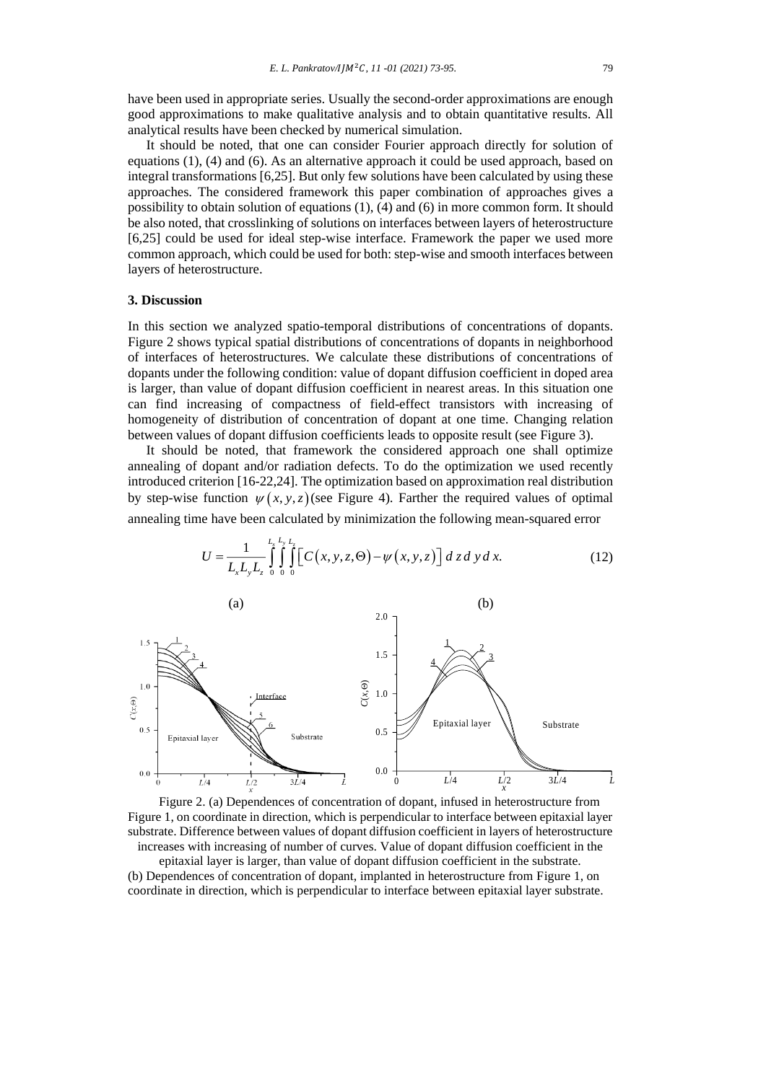have been used in appropriate series. Usually the second-order approximations are enough good approximations to make qualitative analysis and to obtain quantitative results. All analytical results have been checked by numerical simulation.

It should be noted, that one can consider Fourier approach directly for solution of equations (1), (4) and (6). As an alternative approach it could be used approach, based on integral transformations [6,25]. But only few solutions have been calculated by using these approaches. The considered framework this paper combination of approaches gives a possibility to obtain solution of equations (1), (4) and (6) in more common form. It should be also noted, that crosslinking of solutions on interfaces between layers of heterostructure [6,25] could be used for ideal step-wise interface. Framework the paper we used more common approach, which could be used for both: step-wise and smooth interfaces between layers of heterostructure.

#### **3. Discussion**

In this section we analyzed spatio-temporal distributions of concentrations of dopants. Figure 2 shows typical spatial distributions of concentrations of dopants in neighborhood of interfaces of heterostructures. We calculate these distributions of concentrations of dopants under the following condition: value of dopant diffusion coefficient in doped area is larger, than value of dopant diffusion coefficient in nearest areas. In this situation one can find increasing of compactness of field-effect transistors with increasing of homogeneity of distribution of concentration of dopant at one time. Changing relation between values of dopant diffusion coefficients leads to opposite result (see Figure 3).

It should be noted, that framework the considered approach one shall optimize annealing of dopant and/or radiation defects. To do the optimization we used recently introduced criterion [16-22,24]. The optimization based on approximation real distribution by step-wise function  $\psi(x, y, z)$  (see Figure 4). Farther the required values of optimal

annealing time have been calculated by minimization the following mean-squared error  
\n
$$
U = \frac{1}{L_x L_y L_z} \int_{0}^{L_x L_y} \int_{0}^{L_z} \left[ C(x, y, z, \Theta) - \psi(x, y, z) \right] dz dy dx.
$$
\n(12)



Figure 2. (a) Dependences of concentration of dopant, infused in heterostructure from Figure 1, on coordinate in direction, which is perpendicular to interface between epitaxial layer substrate. Difference between values of dopant diffusion coefficient in layers of heterostructure increases with increasing of number of curves. Value of dopant diffusion coefficient in the epitaxial layer is larger, than value of dopant diffusion coefficient in the substrate.

(b) Dependences of concentration of dopant, implanted in heterostructure from Figure 1, on coordinate in direction, which is perpendicular to interface between epitaxial layer substrate.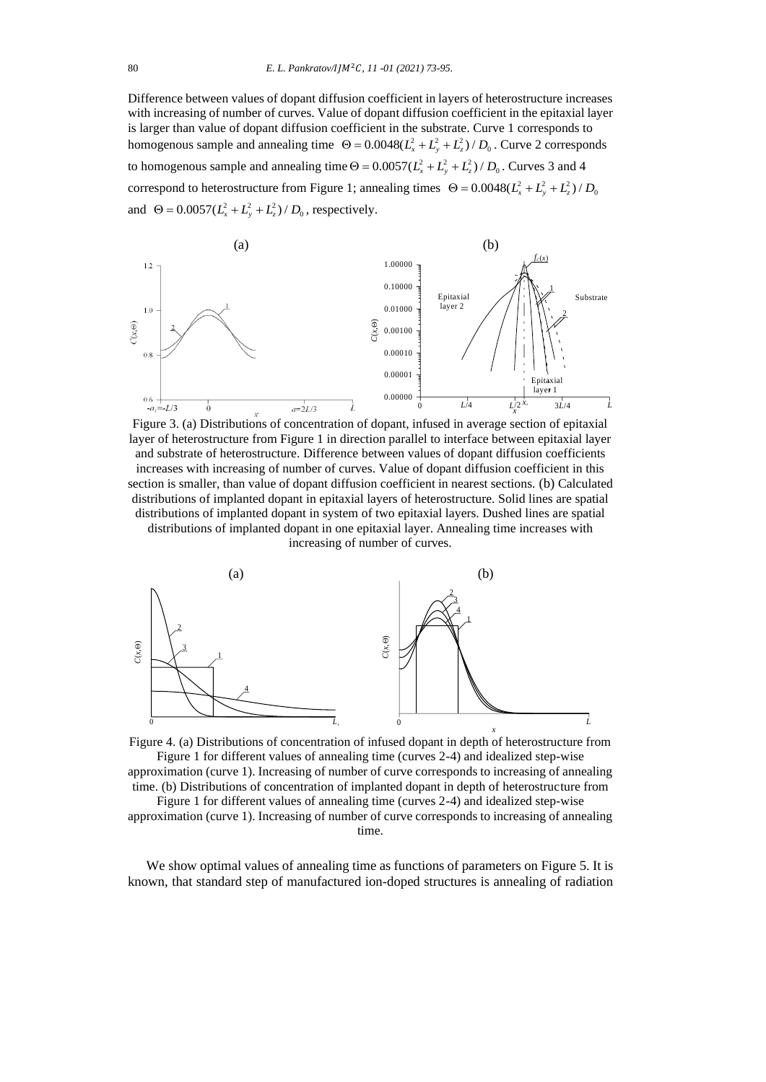Difference between values of dopant diffusion coefficient in layers of heterostructure increases with increasing of number of curves. Value of dopant diffusion coefficient in the epitaxial layer is larger than value of dopant diffusion coefficient in the substrate. Curve 1 corresponds to homogenous sample and annealing time  $\Theta = 0.0048(L_x^2 + L_y^2 + L_z^2)/D_0$ . Curve 2 corresponds to homogenous sample and annealing time  $\Theta = 0.0057(L_x^2 + L_y^2 + L_z^2)/D_0$ . Curves 3 and 4 correspond to heterostructure from Figure 1; annealing times  $\Theta = 0.0048(L_x^2 + L_y^2 + L_z^2)/D_0$ and  $\Theta = 0.0057(L_x^2 + L_y^2 + L_z^2)/D_0$ , respectively.



Figure 3. (a) Distributions of concentration of dopant, infused in average section of epitaxial layer of heterostructure from Figure 1 in direction parallel to interface between epitaxial layer and substrate of heterostructure. Difference between values of dopant diffusion coefficients increases with increasing of number of curves. Value of dopant diffusion coefficient in this section is smaller, than value of dopant diffusion coefficient in nearest sections. (b) Calculated distributions of implanted dopant in epitaxial layers of heterostructure. Solid lines are spatial distributions of implanted dopant in system of two epitaxial layers. Dushed lines are spatial distributions of implanted dopant in one epitaxial layer. Annealing time increases with increasing of number of curves.



Figure 4. (a) Distributions of concentration of infused dopant in depth of heterostructure from Figure 1 for different values of annealing time (curves 2-4) and idealized step-wise approximation (curve 1). Increasing of number of curve corresponds to increasing of annealing

time. (b) Distributions of concentration of implanted dopant in depth of heterostructure from Figure 1 for different values of annealing time (curves 2-4) and idealized step-wise

approximation (curve 1). Increasing of number of curve corresponds to increasing of annealing time.

We show optimal values of annealing time as functions of parameters on Figure 5. It is known, that standard step of manufactured ion-doped structures is annealing of radiation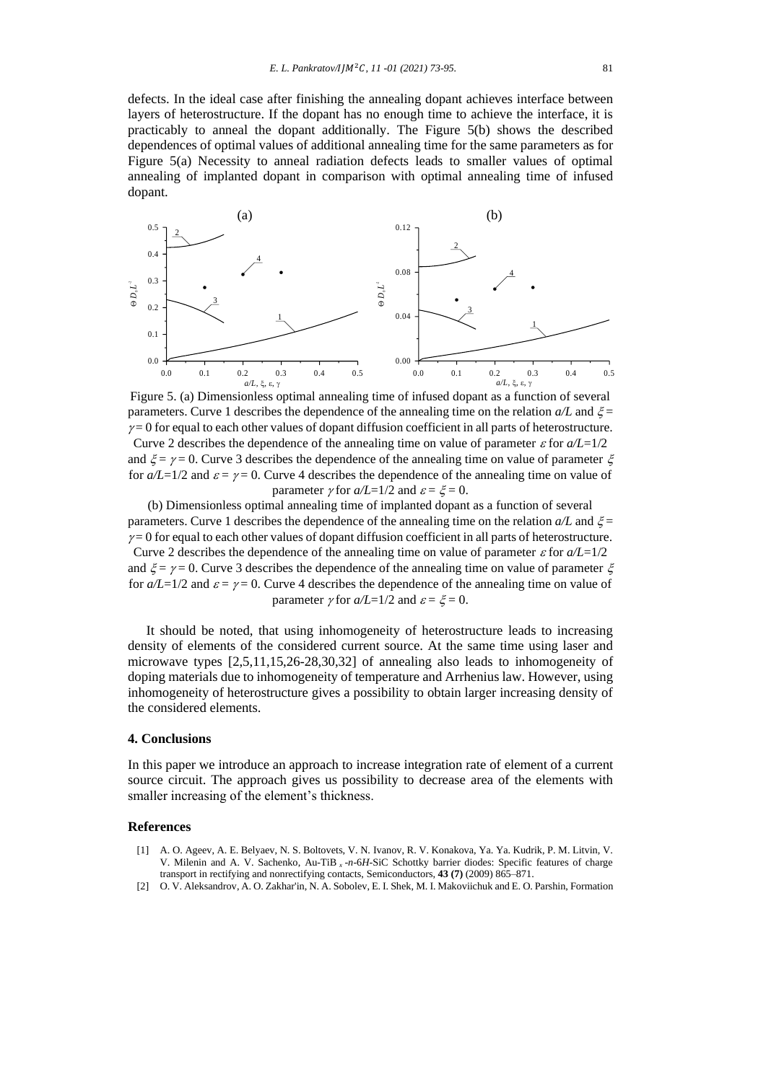defects. In the ideal case after finishing the annealing dopant achieves interface between layers of heterostructure. If the dopant has no enough time to achieve the interface, it is practicably to anneal the dopant additionally. The Figure 5(b) shows the described dependences of optimal values of additional annealing time for the same parameters as for Figure 5(a) Necessity to anneal radiation defects leads to smaller values of optimal annealing of implanted dopant in comparison with optimal annealing time of infused dopant.



Figure 5. (a) Dimensionless optimal annealing time of infused dopant as a function of several parameters. Curve 1 describes the dependence of the annealing time on the relation  $a/L$  and  $\xi$  $\gamma = 0$  for equal to each other values of dopant diffusion coefficient in all parts of heterostructure. Curve 2 describes the dependence of the annealing time on value of parameter  $\varepsilon$  for  $a/L=1/2$ and  $\zeta = \gamma = 0$ . Curve 3 describes the dependence of the annealing time on value of parameter  $\zeta$ for  $a/L=1/2$  and  $\varepsilon = \gamma = 0$ . Curve 4 describes the dependence of the annealing time on value of parameter  $\nu$  for  $a/L=1/2$  and  $\varepsilon = \xi = 0$ .

(b) Dimensionless optimal annealing time of implanted dopant as a function of several parameters. Curve 1 describes the dependence of the annealing time on the relation  $a/L$  and  $\xi$  =  $\gamma = 0$  for equal to each other values of dopant diffusion coefficient in all parts of heterostructure. Curve 2 describes the dependence of the annealing time on value of parameter  $\varepsilon$  for  $a/L=1/2$ and  $\xi = \gamma = 0$ . Curve 3 describes the dependence of the annealing time on value of parameter  $\xi$ for  $a/L=1/2$  and  $\varepsilon = \gamma = 0$ . Curve 4 describes the dependence of the annealing time on value of parameter  $\gamma$  for  $a/L=1/2$  and  $\varepsilon = \xi = 0$ .

It should be noted, that using inhomogeneity of heterostructure leads to increasing density of elements of the considered current source. At the same time using laser and microwave types [2,5,11,15,26-28,30,32] of annealing also leads to inhomogeneity of doping materials due to inhomogeneity of temperature and Arrhenius law. However, using inhomogeneity of heterostructure gives a possibility to obtain larger increasing density of the considered elements.

### **4. Conclusions**

In this paper we introduce an approach to increase integration rate of element of a current source circuit. The approach gives us possibility to decrease area of the elements with smaller increasing of the element's thickness.

### **References**

- [1] A. O. Ageev, A. E. Belyaev, N. S. Boltovets, V. N. Ivanov, R. V. Konakova, Ya. Ya. Kudrik, P. M. Litvin, V. V. Milenin and A. V. Sachenko, Au-TiB *<sup>x</sup>* -*n*-6*H*-SiC Schottky barrier diodes: Specific features of charge transport in rectifying and nonrectifying contacts, Semiconductors, **43 (7)** (2009) 865–871.
- [2] O. V. Aleksandrov, A. O. Zakhar'in, N. A. Sobolev, E. I. Shek, M. I. Makoviichuk and E. O. Parshin, Formation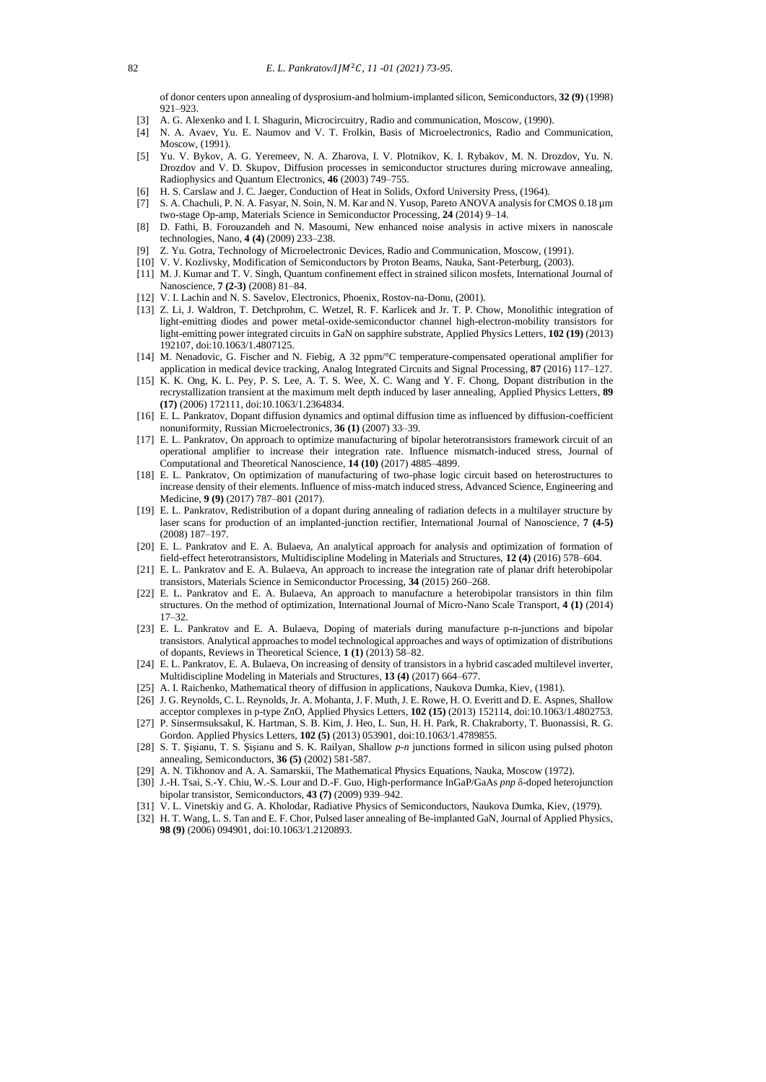of donor centers upon annealing of dysprosium-and holmium-implanted silicon, Semiconductors, **32 (9)** (1998) 921–923.

- [3] A. G. Alexenko and I. I. Shagurin, Microcircuitry, Radio and communication, Moscow, (1990).
- [4] N. A. Avaev, Yu. E. Naumov and V. T. Frolkin, Basis of Microelectronics, Radio and Communication, Moscow, (1991).
- [5] Yu. V. Bykov, A. G. Yeremeev, N. A. Zharova, I. V. Plotnikov, K. I. Rybakov, M. N. Drozdov, Yu. N. Drozdov and V. D. Skupov, Diffusion processes in semiconductor structures during microwave annealing, Radiophysics and Quantum Electronics, **46** (2003) 749–755.
- [6] H. S. Carslaw and J. C. Jaeger, Conduction of Heat in Solids, Oxford University Press, (1964).
- [7] S. A. Chachuli, P. N. A. Fasyar, N. Soin, N. M. Kar and N. Yusop, Pareto ANOVA analysis for CMOS 0.18 µm two-stage Op-amp, Materials Science in Semiconductor Processing, **24** (2014) 9–14.
- [8] D. Fathi, B. Forouzandeh and N. Masoumi, New enhanced noise analysis in active mixers in nanoscale technologies, Nano, **4 (4)** (2009) 233–238.
- [9] Z. Yu. Gotra, Technology of Microelectronic Devices, Radio and Communication, Moscow, (1991).
- [10] V. V. Kozlivsky, Modification of Semiconductors by Proton Beams, Nauka, Sant-Peterburg, (2003).
- [11] M. J. Kumar and T. V. Singh, Quantum confinement effect in strained silicon mosfets, International Journal of Nanoscience, **7 (2-3)** (2008) 81–84.
- [12] V. I. Lachin and N. S. Savelov, Electronics, Phoenix, Rostov-na-Donu, (2001).
- [13] Z. Li, J. Waldron, T. Detchprohm, C. Wetzel, R. F. Karlicek and Jr. T. P. Chow, Monolithic integration of light-emitting diodes and power metal-oxide-semiconductor channel high-electron-mobility transistors for light-emitting power integrated circuits in GaN on sapphire substrate, Applied Physics Letters, **102 (19)** (2013) 192107, doi:10.1063/1.4807125.
- [14] M. Nenadovic, G. Fischer and N. Fiebig, A 32 ppm/°C temperature-compensated operational amplifier for application in medical device tracking, Analog Integrated Circuits and Signal Processing, **87** (2016) 117–127.
- [15] K. K. Ong, K. L. Pey, P. S. Lee, A. T. S. Wee, X. C. Wang and Y. F. Chong, Dopant distribution in the recrystallization transient at the maximum melt depth induced by laser annealing, Applied Physics Letters, **89 (17)** (2006) 172111, doi:10.1063/1.2364834.
- [16] E. L. Pankratov, Dopant diffusion dynamics and optimal diffusion time as influenced by diffusion-coefficient nonuniformity, Russian Microelectronics, **36 (1)** (2007) 33–39.
- [17] E. L. Pankratov, On approach to optimize manufacturing of bipolar heterotransistors framework circuit of an operational amplifier to increase their integration rate. Influence mismatch-induced stress, Journal of Computational and Theoretical Nanoscience, **14 (10)** (2017) 4885–4899.
- [18] E. L. Pankratov, On optimization of manufacturing of two-phase logic circuit based on heterostructures to increase density of their elements. Influence of miss-match induced stress, Advanced Science, Engineering and Medicine, **9 (9)** (2017) 787–801 (2017).
- [19] E. L. Pankratov, Redistribution of a dopant during annealing of radiation defects in a multilayer structure by laser scans for production of an implanted-junction rectifier, International Journal of Nanoscience, **7 (4-5)** (2008) 187–197.
- [20] E. L. Pankratov and E. A. Bulaeva, An analytical approach for analysis and optimization of formation of field-effect heterotransistors, Multidiscipline Modeling in Materials and Structures, **12 (4)** (2016) 578–604.
- [21] E. L. Pankratov and E. A. Bulaeva, An approach to increase the integration rate of planar drift heterobipolar transistors, Materials Science in Semiconductor Processing, **34** (2015) 260–268.
- [22] E. L. Pankratov and E. A. Bulaeva, An approach to manufacture a heterobipolar transistors in thin film structures. On the method of optimization, International Journal of Micro-Nano Scale Transport, **4 (1)** (2014) 17–32.
- [23] E. L. Pankratov and E. A. Bulaeva, Doping of materials during manufacture p-n-junctions and bipolar transistors. Analytical approaches to model technological approaches and ways of optimization of distributions of dopants, Reviews in Theoretical Science, **1 (1)** (2013) 58–82.
- [24] E. L. Pankratov, E. A. Bulaeva, On increasing of density of transistors in a hybrid cascaded multilevel inverter, Multidiscipline Modeling in Materials and Structures, **13 (4)** (2017) 664–677.
- [25] A. I. Raichenko, Mathematical theory of diffusion in applications, Naukova Dumka, Kiev, (1981).
- [26] J. G. Reynolds, C. L. Reynolds, Jr. A. Mohanta, J. F. Muth, J. E. Rowe, H. O. Everitt and D. E. Aspnes, Shallow acceptor complexes in p-type ZnO, Applied Physics Letters, **102 (15)** (2013) 152114, doi:10.1063/1.4802753.
- [27] P. Sinsermsuksakul, K. Hartman, S. B. Kim, J. Heo, L. Sun, H. H. Park, R. Chakraborty, T. Buonassisi, R. G. Gordon. Applied Physics Letters, **102 (5)** (2013) 053901, doi:10.1063/1.4789855.
- [28] S. T. Şişianu, T. S. Şişianu and S. K. Railyan, Shallow *p-n* junctions formed in silicon using pulsed photon annealing, Semiconductors, **36 (5)** (2002) 581-587.
- [29] A. N. Tikhonov and A. A. Samarskii, The Mathematical Physics Equations, Nauka, Moscow (1972).
- [30] J.-H. Tsai, S.-Y. Chiu, W.-S. Lour and D.-F. Guo, High-performance InGaP/GaAs *pnp* δ-doped heterojunction bipolar transistor, Semiconductors, **43 (7)** (2009) 939–942.
- [31] V. L. Vinetskiy and G. A. Kholodar, Radiative Physics of Semiconductors, Naukova Dumka, Kiev, (1979).
- [32] H. T. Wang, L. S. Tan and E. F. Chor, Pulsed laser annealing of Be-implanted GaN, Journal of Applied Physics, **98 (9)** (2006) 094901, doi:10.1063/1.2120893.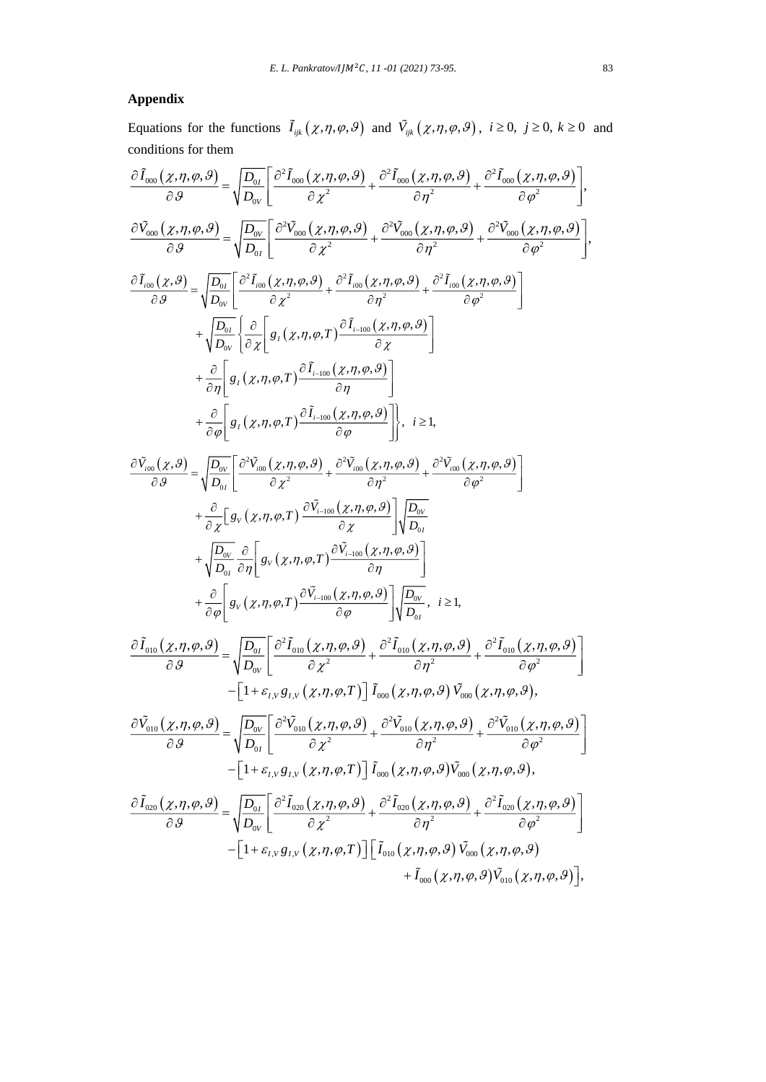# **Appendix**

Equations for the functions  $\tilde{I}_{ijk}(\chi,\eta,\varphi,\vartheta)$  and  $\tilde{V}_{ijk}(\chi,\eta,\varphi,\vartheta)$ ,  $i \ge 0$ ,  $j \ge 0$ ,  $k \ge 0$  and conditions for them

$$
\frac{\partial \tilde{I}_{\cos}(\chi,\eta,\varphi,\vartheta)}{\partial \theta} = \sqrt{\frac{D_{0\eta}}{D_{0\eta}}} \left[ \frac{\partial^{2} \tilde{I}_{\cos}(\chi,\eta,\varphi,\vartheta)}{\partial \chi^{2}} + \frac{\partial^{2} \tilde{I}_{\cos}(\chi,\eta,\varphi,\vartheta)}{\partial \eta^{2}} + \frac{\partial^{2} \tilde{I}_{\cos}(\chi,\eta,\varphi,\vartheta)}{\partial \varphi^{2}} \right],
$$
\n
$$
\frac{\partial \tilde{V}_{\cos}(\chi,\eta,\varphi,\vartheta)}{\partial \theta} = \sqrt{\frac{D_{0\eta}}{D_{0\eta}}} \left[ \frac{\partial^{2} \tilde{V}_{\cos}(\chi,\eta,\varphi,\vartheta)}{\partial \chi^{2}} + \frac{\partial^{2} \tilde{V}_{\cos}(\chi,\eta,\varphi,\vartheta)}{\partial \eta^{2}} + \frac{\partial^{2} \tilde{V}_{\cos}(\chi,\eta,\varphi,\vartheta)}{\partial \varphi^{2}} \right],
$$
\n
$$
\frac{\partial \tilde{I}_{\cos}(\chi,\vartheta)}{\partial \theta} = \sqrt{\frac{D_{0\eta}}{D_{0\eta}}} \left[ \frac{\partial^{2} \tilde{I}_{\cos}(\chi,\eta,\varphi,\vartheta)}{\partial \chi^{2}} + \frac{\partial^{2} \tilde{I}_{\cos}(\chi,\eta,\varphi,\vartheta)}{\partial \eta^{2}} + \frac{\partial^{2} \tilde{I}_{\cos}(\chi,\eta,\varphi,\vartheta)}{\partial \varphi^{2}} \right]
$$
\n
$$
+ \frac{\partial}{\partial \eta} \left[ g_{1}(\chi,\eta,\varphi,T) \frac{\partial \tilde{I}_{1-\cos}(\chi,\eta,\varphi,\vartheta)}{\partial \eta} \right]
$$
\n
$$
+ \frac{\partial}{\partial \eta} \left[ g_{1}(\chi,\eta,\varphi,T) \frac{\partial \tilde{I}_{1-\cos}(\chi,\eta,\varphi,\vartheta)}{\partial \eta} \right], i \geq 1,
$$
\n
$$
\frac{\partial \tilde{V}_{\cos}(\chi,\vartheta,\vartheta)}{\partial \theta} = \sqrt{\frac{D_{0\eta}}{D_{0\eta}}} \left[ \frac{\partial^{2} \tilde{V}_{\cos}(\chi,\eta,\varphi,\vartheta)}{\partial \chi^{2}} + \frac{\partial^{2} \tilde{V}_{\cos}(\chi,\eta,\varphi,\vartheta)}{\partial \eta} \
$$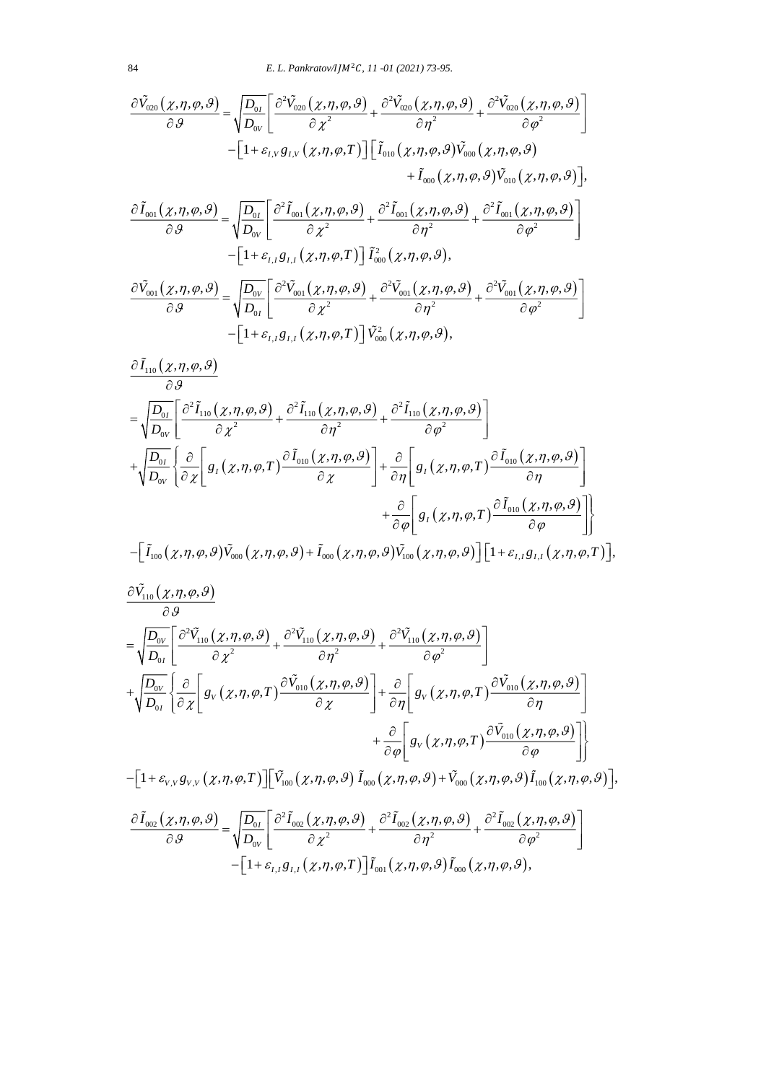$$
\frac{\partial \tilde{V}_{020}(\chi,\eta,\varphi,\vartheta)}{\partial \vartheta} = \sqrt{\frac{D_{0I}}{D_{0V}}} \left[ \frac{\partial^2 \tilde{V}_{020}(\chi,\eta,\varphi,\vartheta)}{\partial \chi^2} + \frac{\partial^2 \tilde{V}_{020}(\chi,\eta,\varphi,\vartheta)}{\partial \eta^2} + \frac{\partial^2 \tilde{V}_{020}(\chi,\eta,\varphi,\vartheta)}{\partial \varphi^2} \right]
$$
  
\n
$$
- \left[ 1 + \varepsilon_{I,V} g_{I,V}(\chi,\eta,\varphi,T) \right] \left[ \tilde{I}_{010}(\chi,\eta,\varphi,\vartheta) \tilde{V}_{000}(\chi,\eta,\varphi,\vartheta) \right]
$$
  
\n
$$
\frac{\partial \tilde{I}_{001}(\chi,\eta,\varphi,\vartheta)}{\partial \vartheta} = \sqrt{\frac{D_{0I}}{D_{0V}}} \left[ \frac{\partial^2 \tilde{I}_{001}(\chi,\eta,\varphi,\vartheta)}{\partial \chi^2} + \frac{\partial^2 \tilde{I}_{001}(\chi,\eta,\varphi,\vartheta)}{\partial \eta^2} + \frac{\partial^2 \tilde{I}_{001}(\chi,\eta,\varphi,\vartheta)}{\partial \varphi^2} \right]
$$
  
\n
$$
- \left[ 1 + \varepsilon_{I,I} g_{I,I}(\chi,\eta,\varphi,T) \right] \tilde{I}_{000}^2(\chi,\eta,\varphi,\vartheta),
$$
  
\n
$$
\frac{\partial \tilde{V}_{001}(\chi,\eta,\varphi,\vartheta)}{\partial \vartheta} = \sqrt{\frac{D_{0V}}{D_{0I}}} \left[ \frac{\partial^2 \tilde{V}_{001}(\chi,\eta,\varphi,\vartheta)}{\partial \chi^2} + \frac{\partial^2 \tilde{V}_{001}(\chi,\eta,\varphi,\vartheta)}{\partial \eta^2} + \frac{\partial^2 \tilde{V}_{001}(\chi,\eta,\varphi,\vartheta)}{\partial \varphi^2} \right]
$$
  
\n
$$
- \left[ 1 + \varepsilon_{I,I} g_{I,I}(\chi,\eta,\varphi,T) \right] \tilde{V}_{000}^2(\chi,\eta,\varphi,\vartheta),
$$

$$
\frac{\partial \tilde{I}_{110}( \chi, \eta, \varphi, \vartheta)}{\partial \vartheta} \n= \sqrt{\frac{D_{0I}}{D_{0V}}} \left[ \frac{\partial^2 \tilde{I}_{110}( \chi, \eta, \varphi, \vartheta)}{\partial \chi^2} + \frac{\partial^2 \tilde{I}_{110}( \chi, \eta, \varphi, \vartheta)}{\partial \eta^2} + \frac{\partial^2 \tilde{I}_{110}( \chi, \eta, \varphi, \vartheta)}{\partial \varphi^2} \right] \n+ \sqrt{\frac{D_{0I}}{D_{0V}}} \left\{ \frac{\partial}{\partial \chi} \left[ g_I(\chi, \eta, \varphi, T) \frac{\partial \tilde{I}_{010}(\chi, \eta, \varphi, \vartheta)}{\partial \chi} \right] + \frac{\partial}{\partial \eta} \left[ g_I(\chi, \eta, \varphi, T) \frac{\partial \tilde{I}_{010}(\chi, \eta, \varphi, \vartheta)}{\partial \eta} \right] \right. \n+ \frac{\partial}{\partial \varphi} \left[ g_I(\chi, \eta, \varphi, T) \frac{\partial \tilde{I}_{010}(\chi, \eta, \varphi, \vartheta)}{\partial \varphi} \right] \left. + \frac{\partial}{\partial \varphi} \left[ g_I(\chi, \eta, \varphi, T) \frac{\partial \tilde{I}_{010}(\chi, \eta, \varphi, \vartheta)}{\partial \varphi} \right] \right\} \n- \left[ \tilde{I}_{100}(\chi, \eta, \varphi, \vartheta) \tilde{V}_{000}(\chi, \eta, \varphi, \vartheta) + \tilde{I}_{000}(\chi, \eta, \varphi, \vartheta) \tilde{V}_{100}(\chi, \eta, \varphi, \vartheta) \right] \left[ 1 + \varepsilon_{I,I} g_{I,I}(\chi, \eta, \varphi, T) \right],
$$

$$
\frac{\partial \tilde{V}_{110}(\chi,\eta,\varphi,\vartheta)}{\partial \vartheta} = \sqrt{\frac{D_{0V}}{D_{0I}}} \left[ \frac{\partial^2 \tilde{V}_{110}(\chi,\eta,\varphi,\vartheta)}{\partial \chi^2} + \frac{\partial^2 \tilde{V}_{110}(\chi,\eta,\varphi,\vartheta)}{\partial \eta^2} + \frac{\partial^2 \tilde{V}_{110}(\chi,\eta,\varphi,\vartheta)}{\partial \varphi^2} \right] \n+ \sqrt{\frac{D_{0V}}{D_{0I}}} \left\{ \frac{\partial}{\partial \chi} \left[ g_V(\chi,\eta,\varphi,T) \frac{\partial \tilde{V}_{010}(\chi,\eta,\varphi,\vartheta)}{\partial \chi} \right] + \frac{\partial}{\partial \eta} \left[ g_V(\chi,\eta,\varphi,T) \frac{\partial \tilde{V}_{010}(\chi,\eta,\varphi,\vartheta)}{\partial \eta} \right] \right. \n+ \frac{\partial}{\partial \varphi} \left[ g_V(\chi,\eta,\varphi,T) \frac{\partial \tilde{V}_{010}(\chi,\eta,\varphi,\vartheta)}{\partial \varphi} \right] \n- \left[ 1 + \varepsilon_{V,V} g_{V,V}(\chi,\eta,\varphi,T) \right] \left[ \tilde{V}_{100}(\chi,\eta,\varphi,\vartheta) \tilde{I}_{000}(\chi,\eta,\varphi,\vartheta) + \tilde{V}_{000}(\chi,\eta,\varphi,\vartheta) \tilde{I}_{100}(\chi,\eta,\varphi,\vartheta) \right], \n\frac{\partial \tilde{I}_{002}(\chi,\eta,\varphi,\vartheta)}{\partial \vartheta} = \sqrt{\frac{D_{0I}}{D_{0V}}} \left[ \frac{\partial^2 \tilde{I}_{002}(\chi,\eta,\varphi,\vartheta)}{\partial \chi^2} + \frac{\partial^2 \tilde{I}_{002}(\chi,\eta,\varphi,\vartheta)}{\partial \eta^2} + \frac{\partial^2 \tilde{I}_{002}(\chi,\eta,\varphi,\vartheta)}{\partial \varphi^2} \right] \n- \left[ 1 + \varepsilon_{I,I} g_{I,I}(\chi,\eta,\varphi,T) \right] \tilde{I}_{001}(\chi,\eta,\varphi,\vartheta) \tilde{I}_{000}(\chi,\eta,\varphi,\vartheta),
$$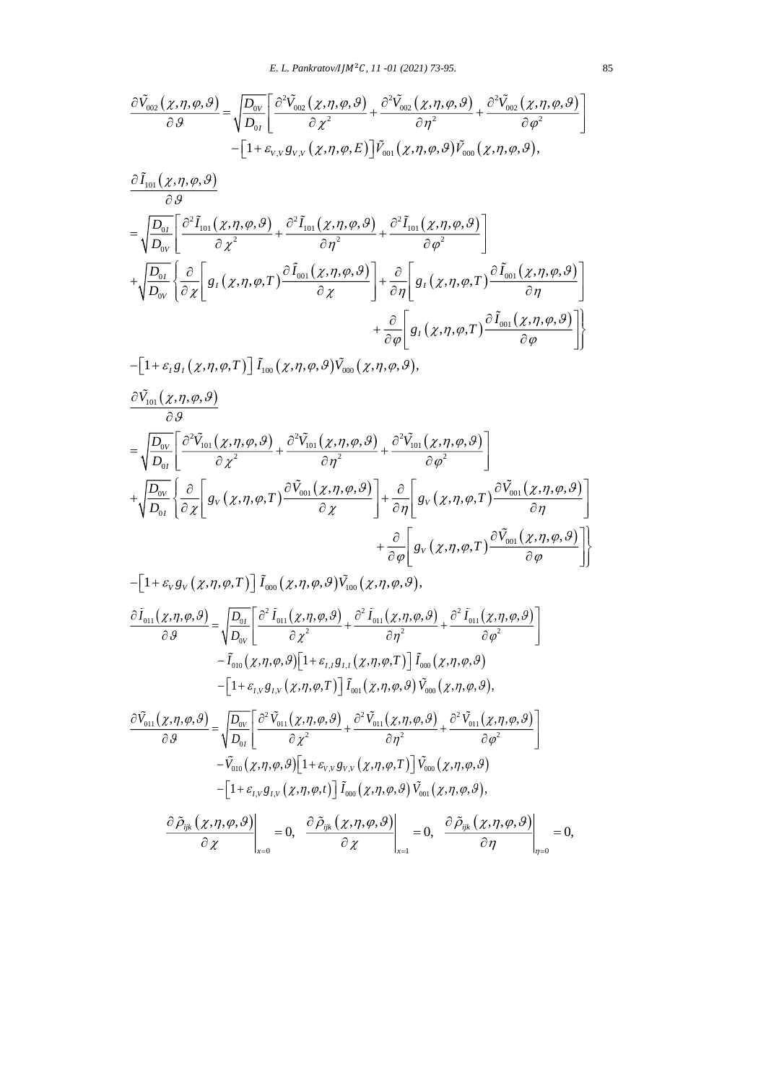$$
\frac{\partial \tilde{V}_{002}(\chi,\eta,\varphi,\vartheta)}{\partial \vartheta} = \sqrt{\frac{D_{0V}}{D_{0I}}} \left[ \frac{\partial^2 \tilde{V}_{002}(\chi,\eta,\varphi,\vartheta)}{\partial \chi^2} + \frac{\partial^2 \tilde{V}_{002}(\chi,\eta,\varphi,\vartheta)}{\partial \eta^2} + \frac{\partial^2 \tilde{V}_{002}(\chi,\eta,\varphi,\vartheta)}{\partial \varphi^2} \right] - \left[1 + \varepsilon_{V,V} g_{V,V}(\chi,\eta,\varphi,E)\right] \tilde{V}_{001}(\chi,\eta,\varphi,\vartheta) \tilde{V}_{000}(\chi,\eta,\varphi,\vartheta),
$$

$$
\frac{\partial \tilde{I}_{101}(\chi,\eta,\varphi,\vartheta)}{\partial \vartheta} \n= \sqrt{\frac{D_{0I}}{D_{0V}}} \left[ \frac{\partial^2 \tilde{I}_{101}(\chi,\eta,\varphi,\vartheta)}{\partial \chi^2} + \frac{\partial^2 \tilde{I}_{101}(\chi,\eta,\varphi,\vartheta)}{\partial \eta^2} + \frac{\partial^2 \tilde{I}_{101}(\chi,\eta,\varphi,\vartheta)}{\partial \varphi^2} \right] \n+ \sqrt{\frac{D_{0I}}{D_{0V}}} \left\{ \frac{\partial}{\partial \chi} \left[ g_I(\chi,\eta,\varphi,T) \frac{\partial \tilde{I}_{001}(\chi,\eta,\varphi,\vartheta)}{\partial \chi} \right] + \frac{\partial}{\partial \eta} \left[ g_I(\chi,\eta,\varphi,T) \frac{\partial \tilde{I}_{001}(\chi,\eta,\varphi,\vartheta)}{\partial \eta} \right] \right. \n+ \frac{\partial}{\partial \varphi} \left[ g_I(\chi,\eta,\varphi,T) \frac{\partial \tilde{I}_{001}(\chi,\eta,\varphi,\vartheta)}{\partial \varphi} \right] \right\}
$$

$$
-\left[1+\varepsilon_1 g_1(\chi,\eta,\varphi,T)\right]\tilde{I}_{100}(\chi,\eta,\varphi,\vartheta)\tilde{V}_{000}(\chi,\eta,\varphi,\vartheta),
$$

$$
\frac{\partial \tilde{V}_{101}(\chi,\eta,\varphi,\vartheta)}{\partial \vartheta} \n= \sqrt{\frac{D_{0V}}{D_{0I}}} \left[ \frac{\partial^2 \tilde{V}_{101}(\chi,\eta,\varphi,\vartheta)}{\partial \chi^2} + \frac{\partial^2 \tilde{V}_{101}(\chi,\eta,\varphi,\vartheta)}{\partial \eta^2} + \frac{\partial^2 \tilde{V}_{101}(\chi,\eta,\varphi,\vartheta)}{\partial \varphi^2} \right] \n+ \sqrt{\frac{D_{0V}}{D_{0I}}} \left\{ \frac{\partial}{\partial \chi} \left[ g_V(\chi,\eta,\varphi,T) \frac{\partial \tilde{V}_{001}(\chi,\eta,\varphi,\vartheta)}{\partial \chi} \right] + \frac{\partial}{\partial \eta} \left[ g_V(\chi,\eta,\varphi,T) \frac{\partial \tilde{V}_{001}(\chi,\eta,\varphi,\vartheta)}{\partial \eta} \right] \right. \n+ \frac{\partial}{\partial \varphi} \left[ g_V(\chi,\eta,\varphi,T) \frac{\partial \tilde{V}_{001}(\chi,\eta,\varphi,\vartheta)}{\partial \varphi} \right]
$$

$$
-\left[1+\varepsilon_{V}g_{V}(\chi,\eta,\varphi,T)\right]\tilde{I}_{000}(\chi,\eta,\varphi,\vartheta)\tilde{V}_{100}(\chi,\eta,\varphi,\vartheta),
$$
\n
$$
\frac{\partial \tilde{I}_{011}(\chi,\eta,\varphi,\vartheta)}{\partial \vartheta} = \sqrt{\frac{D_{0I}}{D_{0V}}} \left[ \frac{\partial^{2} \tilde{I}_{011}(\chi,\eta,\varphi,\vartheta)}{\partial \chi^{2}} + \frac{\partial^{2} \tilde{I}_{011}(\chi,\eta,\varphi,\vartheta)}{\partial \eta^{2}} + \frac{\partial^{2} \tilde{I}_{011}(\chi,\eta,\varphi,\vartheta)}{\partial \varphi^{2}} \right]
$$
\n
$$
-\tilde{I}_{010}(\chi,\eta,\varphi,\vartheta)\left[1+\varepsilon_{I,I}g_{I,I}(\chi,\eta,\varphi,T)\right]\tilde{I}_{000}(\chi,\eta,\varphi,\vartheta),
$$
\n
$$
-\left[1+\varepsilon_{I,V}g_{I,V}(\chi,\eta,\varphi,T)\right]\tilde{I}_{001}(\chi,\eta,\varphi,\vartheta)\tilde{V}_{000}(\chi,\eta,\varphi,\vartheta),
$$
\n
$$
\frac{\partial \tilde{V}_{011}(\chi,\eta,\varphi,\vartheta)}{\partial \vartheta} = \sqrt{\frac{D_{0V}}{D_{0I}}} \left[ \frac{\partial^{2} \tilde{V}_{011}(\chi,\eta,\varphi,\vartheta)}{\partial \chi^{2}} + \frac{\partial^{2} \tilde{V}_{011}(\chi,\eta,\varphi,\vartheta)}{\partial \eta^{2}} + \frac{\partial^{2} \tilde{V}_{011}(\chi,\eta,\varphi,\vartheta)}{\partial \varphi^{2}} \right]
$$
\n
$$
-\tilde{V}_{010}(\chi,\eta,\varphi,\vartheta)\left[1+\varepsilon_{V,V}g_{V,V}(\chi,\eta,\varphi,T)\right]\tilde{V}_{000}(\chi,\eta,\varphi,\vartheta),
$$
\n
$$
-\left[1+\varepsilon_{I,V}g_{I,V}(\chi,\eta,\varphi,t)\right]\tilde{I}_{000}(\chi,\eta,\varphi,\vartheta)\tilde{V}_{001}(\chi,\eta,\varphi,\vartheta),
$$
\n
$$
\frac{\partial \tilde{\rho}_{ijk}(\chi,\eta,\varphi,\vartheta)}{\partial \chi}\right|_{x
$$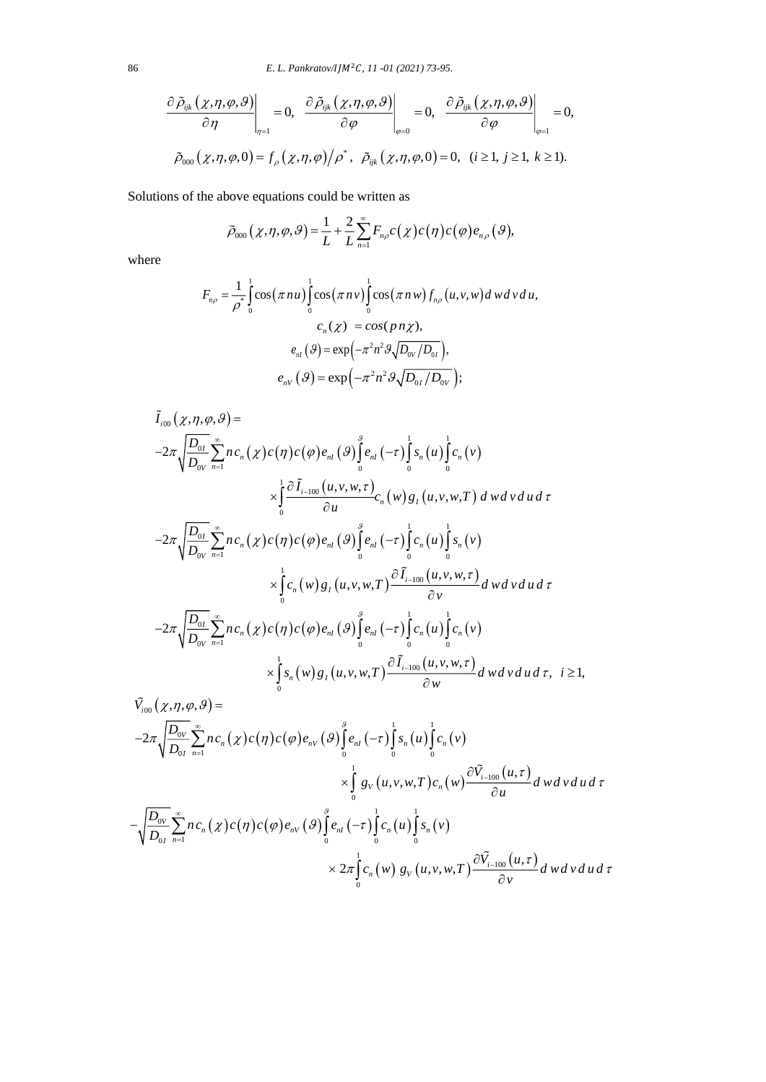$$
\left.\frac{\partial\,\tilde{\rho}_{ijk}\left(\chi,\eta,\varphi,\vartheta\right)}{\partial\eta}\right|_{\eta=1}=0,\;\left.\frac{\partial\,\tilde{\rho}_{ijk}\left(\chi,\eta,\varphi,\vartheta\right)}{\partial\varphi}\right|_{\varphi=0}=0,\;\left.\frac{\partial\,\tilde{\rho}_{ijk}\left(\chi,\eta,\varphi,\vartheta\right)}{\partial\varphi}\right|_{\varphi=1}=0,\\ \tilde{\rho}_{000}\left(\chi,\eta,\varphi,0\right)=f_{\rho}\left(\chi,\eta,\varphi\right)/\rho^{*},\;\left.\tilde{\rho}_{ijk}\left(\chi,\eta,\varphi,0\right)=0,\;\left(i\geq1,\;j\geq1,\;k\geq1\right).
$$

Solutions of the above equations could be written as  
\n
$$
\tilde{\rho}_{000}(\chi, \eta, \varphi, \vartheta) = \frac{1}{L} + \frac{2}{L} \sum_{n=1}^{\infty} F_{n\rho} c(\chi) c(\eta) c(\varphi) e_{n\rho}(\vartheta),
$$

where

$$
F_{n\rho} = \frac{1}{\rho^*} \int_0^1 \cos(\pi n u) \int_0^1 \cos(\pi n v) \int_0^1 \cos(\pi n w) f_{n\rho}(u, v, w) d w d v d u,
$$
  

$$
c_n(\chi) = \cos(p n \chi),
$$
  

$$
e_{n l}(\vartheta) = \exp(-\pi^2 n^2 \vartheta \sqrt{D_{0V}/D_{0I}}),
$$
  

$$
e_{nV}(\vartheta) = \exp(-\pi^2 n^2 \vartheta \sqrt{D_{0I}/D_{0V}});
$$

$$
\tilde{I}_{i00}( \chi, \eta, \varphi, \vartheta) =
$$
\n
$$
-2\pi \sqrt{\frac{D_{0I}}{D_{0V}}} \sum_{n=1}^{\infty} n c_n(\chi) c(\eta) c(\varphi) e_{nI}(\vartheta) \int_{0}^{\vartheta} e_{nI}(-\tau) \int_{0}^{1} s_n(u) \int_{0}^{1} c_n(v)
$$
\n
$$
\times \int_{0}^{1} \frac{\partial \tilde{I}_{i-100}(u, v, w, \tau)}{\partial u} c_n(w) g_I(u, v, w, T) dwdvdot at
$$
\n
$$
-2\pi \sqrt{\frac{D_{0I}}{D_{0V}}} \sum_{n=1}^{\infty} n c_n(\chi) c(\eta) c(\varphi) e_{nI}(\vartheta) \int_{0}^{\vartheta} e_{nI}(-\tau) \int_{0}^{1} c_n(u) \int_{0}^{1} s_n(v)
$$
\n
$$
\times \int_{0}^{1} c_n(w) g_I(u, v, w, T) \frac{\partial \tilde{I}_{i-100}(u, v, w, \tau)}{\partial v} dwdvdot at
$$
\n
$$
-2\pi \sqrt{\frac{D_{0I}}{D_{0V}}} \sum_{n=1}^{\infty} n c_n(\chi) c(\eta) c(\varphi) e_{nI}(\vartheta) \int_{0}^{\vartheta} e_{nI}(-\tau) \int_{0}^{1} c_n(u) \int_{0}^{1} c_n(v)
$$
\n
$$
\times \int_{0}^{1} s_n(w) g_I(u, v, w, T) \frac{\partial \tilde{I}_{i-100}(u, v, w, \tau)}{\partial w} dwdud\tau, \quad i \ge 1,
$$

$$
\tilde{V}_{i00}(\chi,\eta,\varphi,\vartheta) =
$$
\n
$$
-2\pi \sqrt{\frac{D_{0V}}{D_{0I}}}\sum_{n=1}^{\infty} n c_n(\chi) c(\eta) c(\varphi) e_{nV}(\vartheta) \int_{0}^{\vartheta} e_{nI}(-\tau) \int_{0}^{1} s_n(u) \int_{0}^{1} c_n(v)
$$
\n
$$
\times \int_{0}^{1} g_V(u,v,w,T) c_n(w) \frac{\partial \tilde{V}_{i-100}(u,\tau)}{\partial u} dwdv du d\tau
$$
\n
$$
-\sqrt{\frac{D_{0V}}{D_{0I}}}\sum_{n=1}^{\infty} n c_n(\chi) c(\eta) c(\varphi) e_{nV}(\vartheta) \int_{0}^{\vartheta} e_{nI}(-\tau) \int_{0}^{1} c_n(u) \int_{0}^{1} s_n(v)
$$
\n
$$
\times 2\pi \int_{0}^{1} c_n(w) g_V(u,v,w,T) \frac{\partial \tilde{V}_{i-100}(u,\tau)}{\partial v} dwdv du d\tau
$$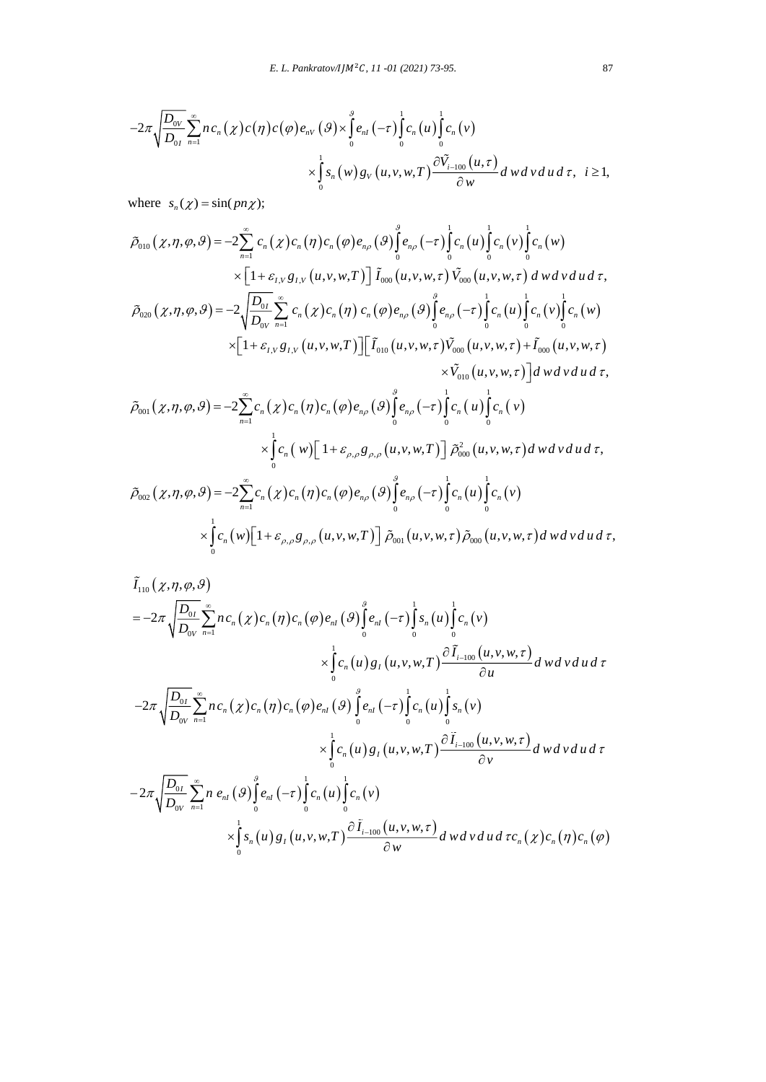$$
E. L. Pankratov/ IJM2C, 11-01 (2021) 73-95.
$$
  
\n
$$
-2\pi \sqrt{\frac{D_{ov}}{D_{0I}}} \sum_{n=1}^{\infty} n c_n(\chi) c(\eta) c(\varphi) e_{nV}(\vartheta) \times \int_{0}^{\vartheta} e_{nI}(-\tau) \int_{0}^{1} c_n(u) \int_{0}^{1} c_n(v)
$$
  
\n
$$
\times \int_{0}^{1} s_n(w) g_V(u, v, w, T) \frac{\partial \tilde{V}_{i-100}(u, \tau)}{\partial w} d\omega d\omega d\tau, \quad i \ge 1,
$$

where  $s_n(\chi) = \sin(p n \chi);$ 

$$
\tilde{\rho}_{010}(\chi,\eta,\varphi,\vartheta) = -2\sum_{n=1}^{\infty} c_n(\chi)c_n(\eta)c_n(\varphi)e_{n\rho}(\vartheta)\int_{0}^{\vartheta} e_{n\rho}(-\tau)\int_{0}^{1} c_n(u)\int_{0}^{1} c_n(v)\int_{0}^{1} c_n(w) \times \left[1+\varepsilon_{I,V}g_{I,V}(u,v,w,T)\right] \tilde{I}_{000}(u,v,w,\tau)\tilde{V}_{000}(u,v,w,\tau) dwdvdud\tau, \n\tilde{\rho}_{020}(\chi,\eta,\varphi,\vartheta) = -2\sqrt{\frac{D_{0I}}{D_{0V}}}\sum_{n=1}^{\infty} c_n(\chi)c_n(\eta)c_n(\varphi)e_{n\rho}(\vartheta)\int_{0}^{\vartheta} e_{n\rho}(-\tau)\int_{0}^{1} c_n(u)\int_{0}^{1} c_n(v)\int_{0}^{1} c_n(w) \times \left[1+\varepsilon_{I,V}g_{I,V}(u,v,w,T)\right] \tilde{I}_{010}(u,v,w,\tau)\tilde{V}_{000}(u,v,w,\tau)+\tilde{I}_{000}(u,v,w,\tau) \times \tilde{V}_{010}(u,v,w,\tau)\right]dwdvdud\tau, \n\tilde{\rho}_{001}(\chi,\eta,\varphi,\vartheta) = -2\sum_{n=1}^{\infty} c_n(\chi)c_n(\eta)c_n(\varphi)e_{n\rho}(\vartheta)\int_{0}^{\vartheta} e_{n\rho}(-\tau)\int_{0}^{1} c_n(u)\int_{0}^{1} c_n(v) \times \int_{0}^{1} c_n(v)[1+\varepsilon_{\rho,\rho}g_{\rho,\rho}(u,v,w,T)]\tilde{\rho}_{000}^2(u,v,w,\tau)dwdvdud\tau, \n\tilde{\rho}_{002}(\chi,\eta,\varphi,\vartheta) = -2\sum_{n=1}^{\infty} c_n(\chi)c_n(\eta)c_n(\varphi)e_{n\rho}(\vartheta)\int_{0}^{\vartheta} e_{n\rho}(-\tau)\int_{0}^{1} c_n(u)\int_{0}^{1} c_n(v)
$$

$$
\tilde{\rho}_{002}(\chi,\eta,\varphi,\vartheta) = -2\sum_{n=1}^{\infty} c_n(\chi) c_n(\eta) c_n(\varphi) e_{n\varphi}(\vartheta) \int_0^{\infty} e_{n\varphi}(-\tau) \int_0^1 c_n(u) \int_0^1 c_n(v) \times \int_0^1 c_n(w) [1 + \varepsilon_{\varphi,\varphi} g_{\varphi,\varphi}(u,v,w,T)] \tilde{\rho}_{001}(u,v,w,\tau) \tilde{\rho}_{000}(u,v,w,\tau) dwdvdud\tau,
$$

$$
\tilde{I}_{110}(\chi,\eta,\varphi,\vartheta) \n= -2\pi \sqrt{\frac{D_{0I}}{D_{0V}}}\sum_{n=1}^{\infty} n c_n(\chi) c_n(\eta) c_n(\varphi) e_{nI}(\varphi) \int_{0}^{\varphi} e_{nI}(-\tau) \int_{0}^{1} s_n(u) \int_{0}^{1} c_n(v) \n\times \int_{0}^{1} c_n(u) g_I(u,v,w,T) \frac{\partial \tilde{I}_{i-100}(u,v,w,\tau)}{\partial u} dwdv du d\tau \n-2\pi \sqrt{\frac{D_{0I}}{D_{0V}}}\sum_{n=1}^{\infty} n c_n(\chi) c_n(\eta) c_n(\varphi) e_{nI}(\varphi) \int_{0}^{\varphi} e_{nI}(-\tau) \int_{0}^{1} c_n(u) \int_{0}^{1} s_n(v) \n\times \int_{0}^{1} c_n(u) g_I(u,v,w,T) \frac{\partial \tilde{I}_{i-100}(u,v,w,\tau)}{\partial v} dwdv du d\tau \n-2\pi \sqrt{\frac{D_{0I}}{D_{0V}}}\sum_{n=1}^{\infty} n e_{nI}(\varphi) \int_{0}^{\varphi} e_{nI}(-\tau) \int_{0}^{1} c_n(u) \int_{0}^{1} c_n(v) \n\times \int_{0}^{1} s_n(u) g_I(u,v,w,T) \frac{\partial \tilde{I}_{i-100}(u,v,w,\tau)}{\partial w} dwdv du d\tau c_n(\chi) c_n(\eta) c_n(\varphi)
$$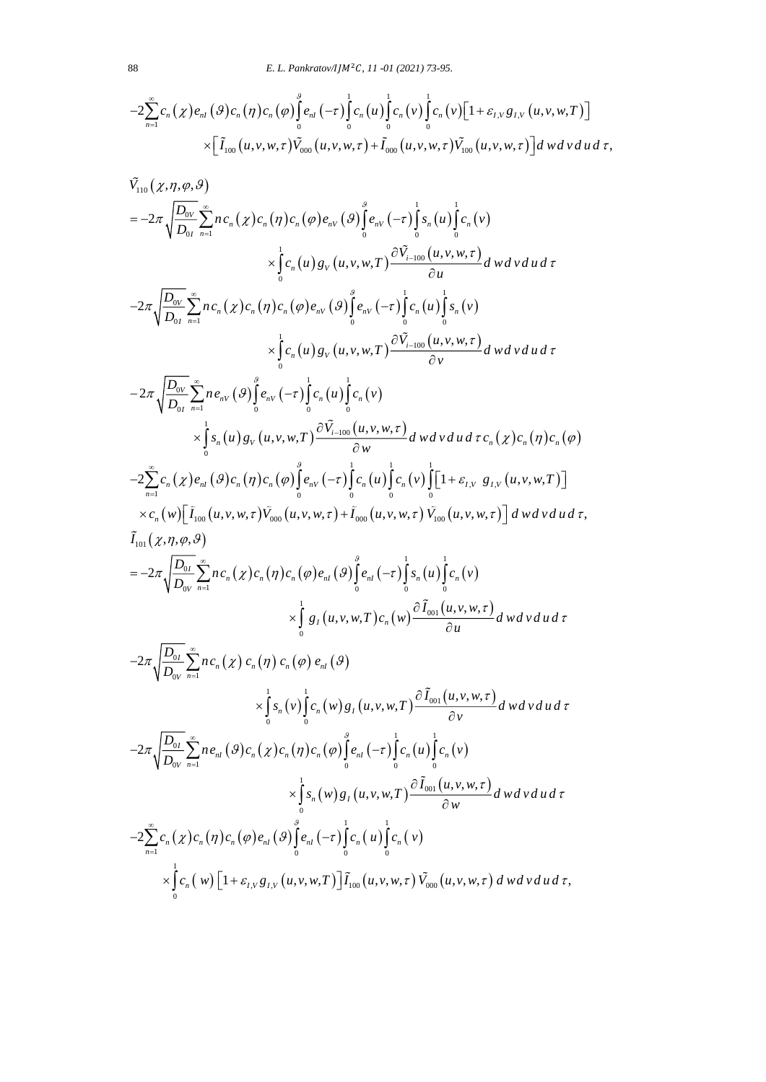$$
-2\sum_{n=1}^{\infty}c_n(\chi)e_{nI}(\mathcal{G})c_n(\eta)c_n(\varphi)\int_{0}^{\beta}e_{nI}(-\tau)\int_{0}^{1}c_n(u)\int_{0}^{1}c_n(v)\int_{0}^{1}c_n(v)[1+\varepsilon_{I,V}g_{I,V}(u,v,w,T)]\times[\tilde{I}_{100}(u,v,w,\tau)\tilde{V}_{000}(u,v,w,\tau)+\tilde{I}_{000}(u,v,w,\tau)\tilde{V}_{100}(u,v,w,\tau)]dwdvdud\tau,
$$

$$
\times [\tilde{I}_{100}(u,v,w,\tau)\tilde{V}_{000}(u,v,w,\tau)+\tilde{I}_{000}(u,v,w,\tau)\tilde{V}_{100}(u,v,w,\tau)]dwdvd\nd\n\tilde{V}_{110}(z,\eta,\varphi,\vartheta)\n=-2\pi\sqrt{\frac{D_{00}}{D_{00}}}\sum_{n=1}^{\infty}nc_{n}(z)c_{n}(\eta)c_{n}(\varphi)e_{n}(\varphi)\int_{0}^{\varrho}e_{n}(-\tau)\int_{0}^{1}s_{n}(u)\int_{0}^{1}c_{n}(v)\n\times\int_{0}^{1}c_{n}(u)g_{V}(u,v,w,\tau)\frac{\partial\tilde{V}_{i-100}(u,v,w,\tau)}{\partial u}dwdvd\tau\n-2\pi\sqrt{\frac{D_{00}}{D_{00}}}\sum_{n=1}^{\infty}nc_{n}(z)c_{n}(\eta)c_{n}(\varphi)e_{n}(\varphi)\int_{0}^{\varrho}e_{n}(-\tau)\int_{0}^{1}c_{n}(u)\int_{0}^{1}x_{n}(v)\n\times\int_{0}^{1}c_{n}(u)g_{V}(u,v,w,\tau)\frac{\partial\tilde{V}_{i-100}(u,v,w,\tau)}{\partial v}dwdvd\tau\n-2\pi\sqrt{\frac{D_{00}}{D_{00}}}\sum_{n=1}^{\infty}nc_{n}(y)\int_{0}^{\varrho}e_{n}(-\tau)\int_{0}^{1}c_{n}(u)\int_{0}^{1}c_{n}(v)\n\times\int_{0}^{1}x_{n}(u)g_{V}(u,v,w,\tau)\frac{\partial\tilde{V}_{i-100}(u,v,w,\tau)}{\partial v}dwdvd\tau c_{n}(z)c_{n}(\eta)c_{n}(\varphi)\n-\frac{2\sum_{n=1}^{\infty}c_{n}(z)e_{n}(y)c_{n}(\eta)c_{n}(\varphi)\int_{0}^{\varrho}e_{n}(-\tau)\int_{0}^{1}c_{n}(u)\int_{0}^{1}c_{n}(v)\int_{0}^{1}[1+\varepsilon_{1}v\ g_{1}v(u,v,w,\tau)]\times c_{n}(w)[\tilde{L}_{100}(u,v,w,\tau)\tilde{V}_{000}(u,v,w,\tau)]\n\times c_{n}(w)[\tilde{L}_{100}(u,v,w,\tau)\
$$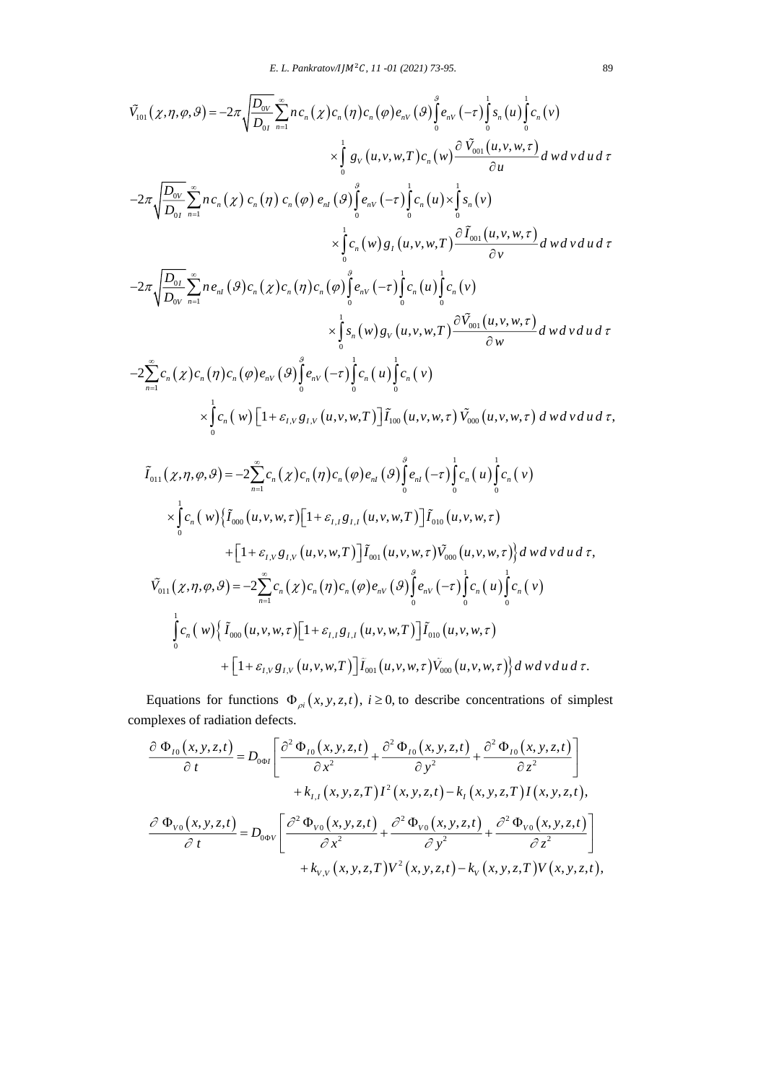$$
\tilde{V}_{101}(\chi,\eta,\varphi,\vartheta) = -2\pi \sqrt{\frac{D_{0V}}{D_{0I}}} \sum_{n=1}^{\infty} n c_n(\chi) c_n(\eta) c_n(\varphi) e_{nV}(\vartheta) \int_{0}^{\vartheta} e_{nV}(-\tau) \int_{0}^{1} s_n(u) \int_{0}^{1} c_n(v) \times \int_{0}^{1} g_V(u,v,w,T) c_n(w) \frac{\partial \tilde{V}_{001}(u,v,w,\tau)}{\partial u} dwdv du d\tau \n-2\pi \sqrt{\frac{D_{0V}}{D_{0I}}} \sum_{n=1}^{\infty} n c_n(\chi) c_n(\eta) c_n(\varphi) e_{nI}(\vartheta) \int_{0}^{\vartheta} e_{nV}(-\tau) \int_{0}^{1} c_n(u) \times \int_{0}^{1} s_n(v) \times \int_{0}^{1} c_n(w) g_I(u,v,w,\tau) \frac{\partial \tilde{I}_{001}(u,v,w,\tau)}{\partial v} dwdv du d\tau \n-2\pi \sqrt{\frac{D_{0I}}{D_{0V}}} \sum_{n=1}^{\infty} n e_{nI}(\vartheta) c_n(\chi) c_n(\eta) c_n(\varphi) \int_{0}^{\vartheta} e_{nV}(-\tau) \int_{0}^{1} c_n(u) \int_{0}^{1} c_n(v) \times \int_{0}^{1} s_n(w) g_V(u,v,w,\tau) \frac{\partial \tilde{V}_{001}(u,v,w,\tau)}{\partial w} dwdv du d\tau \n-2\sum_{n=1}^{\infty} c_n(\chi) c_n(\eta) c_n(\varphi) e_{nV}(\vartheta) \int_{0}^{\vartheta} e_{nV}(-\tau) \int_{0}^{1} c_n(u) \int_{0}^{1} c_n(v) \times \int_{0}^{1} c_n(w) \left[1 + \varepsilon_{I,V} g_{I,V}(u,v,w,\tau) \right] \tilde{I}_{100}(u,v,w,\tau) \tilde{V}_{000}(u,v,w,\tau) dwdv du d\tau \n\tilde{I}_{011}(\chi,\eta,\varphi,\vartheta) = -2\sum_{n=1}^{\infty} c_n(\chi) c_n(\eta) c_n(\varphi) e_{nI}(\vartheta) \int_{0}^{\vartheta} e_{nI}(-\tau) \int_{0}^{1} c
$$

$$
\tilde{I}_{011}(\chi,\eta,\varphi,\vartheta) = -2\sum_{n=1}^{\infty} c_n(\chi) c_n(\eta) c_n(\varphi) e_{nI}(\vartheta) \int_0^{\varphi} e_{nI}(-\tau) \int_0^1 c_n(u) \int_0^1 c_n(v) \times \int_0^1 c_n(w) \{ \tilde{I}_{000}(u,v,w,\tau) [1 + \varepsilon_{I,I} g_{I,I}(u,v,w,T)] \tilde{I}_{010}(u,v,w,\tau) \n+ [1 + \varepsilon_{I,V} g_{I,V}(u,v,w,T)] \tilde{I}_{001}(u,v,w,\tau) \tilde{V}_{000}(u,v,w,\tau) \} dwdvdud\tau, \n\tilde{V}_{011}(\chi,\eta,\varphi,\vartheta) = -2\sum_{n=1}^{\infty} c_n(\chi) c_n(\eta) c_n(\varphi) e_{nV}(\vartheta) \int_0^{\vartheta} e_{nV}(-\tau) \int_0^1 c_n(u) \int_0^1 c_n(v) \n\int_0^1 c_n(w) \{ \tilde{I}_{000}(u,v,w,\tau) [1 + \varepsilon_{I,I} g_{I,I}(u,v,w,T)] \tilde{I}_{010}(u,v,w,\tau) \n+ [1 + \varepsilon_{I,V} g_{I,V}(u,v,w,T)] \tilde{I}_{001}(u,v,w,\tau) \tilde{V}_{000}(u,v,w,\tau) \} dwdvdud\tau.
$$

Equations for functions  $\Phi_{\rho i}(x, y, z, t)$ ,  $i \ge 0$ , to describe concentrations of simplest complexes of radiation defects.

$$
\frac{\partial \Phi_{I0}(x,y,z,t)}{\partial t} = D_{0\Phi I} \left[ \frac{\partial^2 \Phi_{I0}(x,y,z,t)}{\partial x^2} + \frac{\partial^2 \Phi_{I0}(x,y,z,t)}{\partial y^2} + \frac{\partial^2 \Phi_{I0}(x,y,z,t)}{\partial z^2} \right] \n+ k_{I,I}(x,y,z,T) I^2(x,y,z,t) - k_I(x,y,z,T) I(x,y,z,t),
$$
\n
$$
\frac{\partial \Phi_{V0}(x,y,z,t)}{\partial t} = D_{0\Phi V} \left[ \frac{\partial^2 \Phi_{V0}(x,y,z,t)}{\partial x^2} + \frac{\partial^2 \Phi_{V0}(x,y,z,t)}{\partial y^2} + \frac{\partial^2 \Phi_{V0}(x,y,z,t)}{\partial z^2} \right] \n+ k_{V,V}(x,y,z,T) V^2(x,y,z,t) - k_V(x,y,z,T) V(x,y,z,t),
$$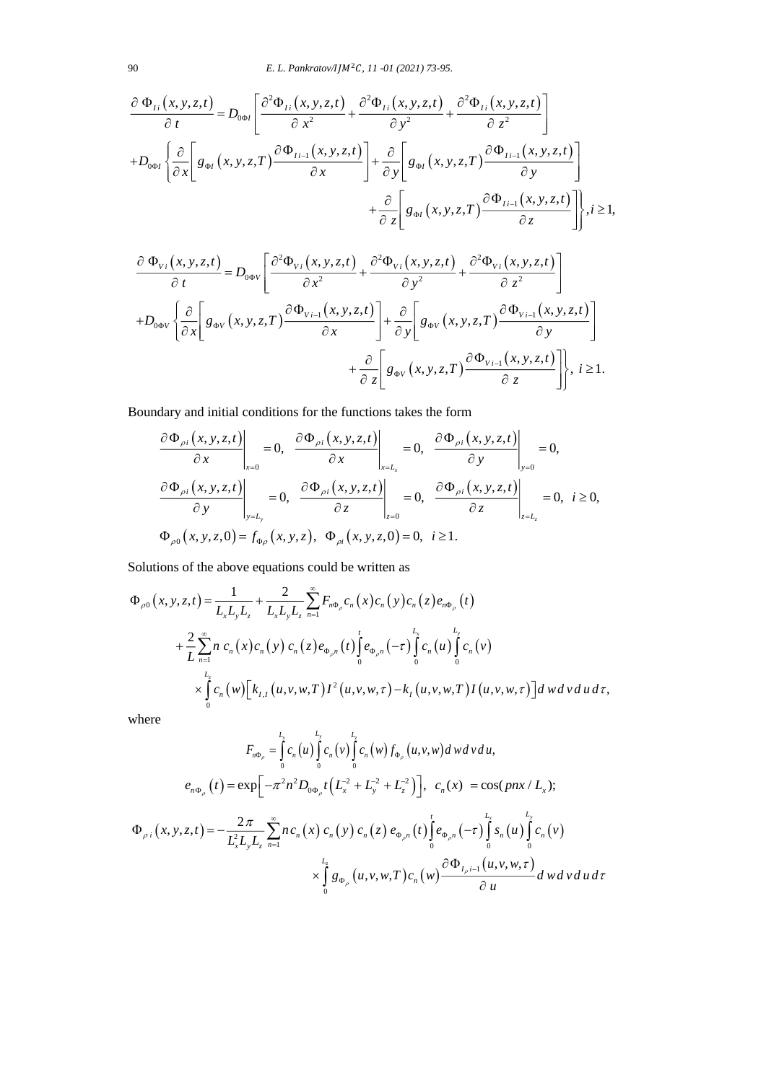$$
\frac{\partial \Phi_{Ii}(x,y,z,t)}{\partial t} = D_{0\Phi I} \left[ \frac{\partial^2 \Phi_{Ii}(x,y,z,t)}{\partial x^2} + \frac{\partial^2 \Phi_{Ii}(x,y,z,t)}{\partial y^2} + \frac{\partial^2 \Phi_{Ii}(x,y,z,t)}{\partial z^2} \right]
$$

$$
+ D_{0\Phi I} \left\{ \frac{\partial}{\partial x} \left[ g_{\Phi I}(x,y,z,T) \frac{\partial \Phi_{Ii-1}(x,y,z,t)}{\partial x} \right] + \frac{\partial}{\partial y} \left[ g_{\Phi I}(x,y,z,T) \frac{\partial \Phi_{Ii-1}(x,y,z,t)}{\partial y} \right] + \frac{\partial}{\partial z} \left[ g_{\Phi I}(x,y,z,T) \frac{\partial \Phi_{Ii-1}(x,y,z,t)}{\partial z} \right] \right\}, i \ge 1,
$$

$$
\frac{\partial \Phi_{V_i}(x, y, z, t)}{\partial t} = D_{0\Phi V} \left[ \frac{\partial^2 \Phi_{V_i}(x, y, z, t)}{\partial x^2} + \frac{\partial^2 \Phi_{V_i}(x, y, z, t)}{\partial y^2} + \frac{\partial^2 \Phi_{V_i}(x, y, z, t)}{\partial z^2} \right]
$$

$$
+ D_{0\Phi V} \left\{ \frac{\partial}{\partial x} \left[ g_{\Phi V}(x, y, z, T) \frac{\partial \Phi_{V_{i-1}}(x, y, z, t)}{\partial x} \right] + \frac{\partial}{\partial y} \left[ g_{\Phi V}(x, y, z, T) \frac{\partial \Phi_{V_{i-1}}(x, y, z, t)}{\partial y} \right] + \frac{\partial}{\partial z} \left[ g_{\Phi V}(x, y, z, T) \frac{\partial \Phi_{V_{i-1}}(x, y, z, t)}{\partial z} \right], i \ge 1.
$$

Boundary and initial conditions for the functions takes the form

$$
\frac{\partial \Phi_{\rho i}(x, y, z, t)}{\partial x}\Big|_{x=0} = 0, \quad \frac{\partial \Phi_{\rho i}(x, y, z, t)}{\partial x}\Big|_{x=L_x} = 0, \quad \frac{\partial \Phi_{\rho i}(x, y, z, t)}{\partial y}\Big|_{y=0} = 0,
$$
\n
$$
\frac{\partial \Phi_{\rho i}(x, y, z, t)}{\partial y}\Big|_{y=L_y} = 0, \quad \frac{\partial \Phi_{\rho i}(x, y, z, t)}{\partial z}\Big|_{z=0} = 0, \quad \frac{\partial \Phi_{\rho i}(x, y, z, t)}{\partial z}\Big|_{z=L_z} = 0, \quad i \ge 0,
$$
\n
$$
\Phi_{\rho 0}(x, y, z, 0) = f_{\Phi \rho}(x, y, z), \quad \Phi_{\rho i}(x, y, z, 0) = 0, \quad i \ge 1.
$$

Solutions of the above equations could be written as

$$
\Phi_{\rho 0}(x, y, z, t) = \frac{1}{L_x L_y L_z} + \frac{2}{L_x L_y L_z} \sum_{n=1}^{\infty} F_{n\Phi_{\rho}} c_n(x) c_n(y) c_n(z) e_{n\Phi_{\rho}}(t) \n+ \frac{2}{L} \sum_{n=1}^{\infty} n c_n(x) c_n(y) c_n(z) e_{\Phi_{\rho} n}(t) \int_0^t e_{\Phi_{\rho} n}(-\tau) \int_0^{L_x} c_n(u) \int_0^{L_y} c_n(v) \n\times \int_0^{L_z} c_n(w) \Big[ k_{I,I}(u, v, w, T) I^2(u, v, w, \tau) - k_I(u, v, w, T) I(u, v, w, \tau) \Big] d w d v d u d \tau,
$$

where

$$
F_{n\Phi_{\rho}} = \int_{0}^{L_{x}} c_{n}(u) \int_{0}^{L_{x}} c_{n}(v) f_{\Phi_{\rho}}(u, v, w) dwdv du,
$$
  
\n
$$
e_{n\Phi_{\rho}}(t) = \exp\Big[-\pi^{2} n^{2} D_{0\Phi_{\rho}} t \Big(L_{x}^{2} + L_{y}^{2} + L_{z}^{2}\Big)\Big], \quad c_{n}(x) = \cos(pnx/L_{x});
$$
  
\n
$$
\Phi_{\rho i}(x, y, z, t) = -\frac{2\pi}{L_{x}^{2} L_{y} L_{z}} \sum_{n=1}^{\infty} n c_{n}(x) c_{n}(y) c_{n}(z) e_{\Phi_{\rho} n}(t) \int_{0}^{t} e_{\Phi_{\rho} n}(-\tau) \int_{0}^{L_{x}} s_{n}(u) \int_{0}^{L_{y}} c_{n}(v) dx dx + \int_{0}^{L_{z}} s_{n}(u, v, w, \tau) c_{n}(w) \frac{\partial \Phi_{I_{\rho}i-1}(u, v, w, \tau)}{\partial u} dwdv du d\tau
$$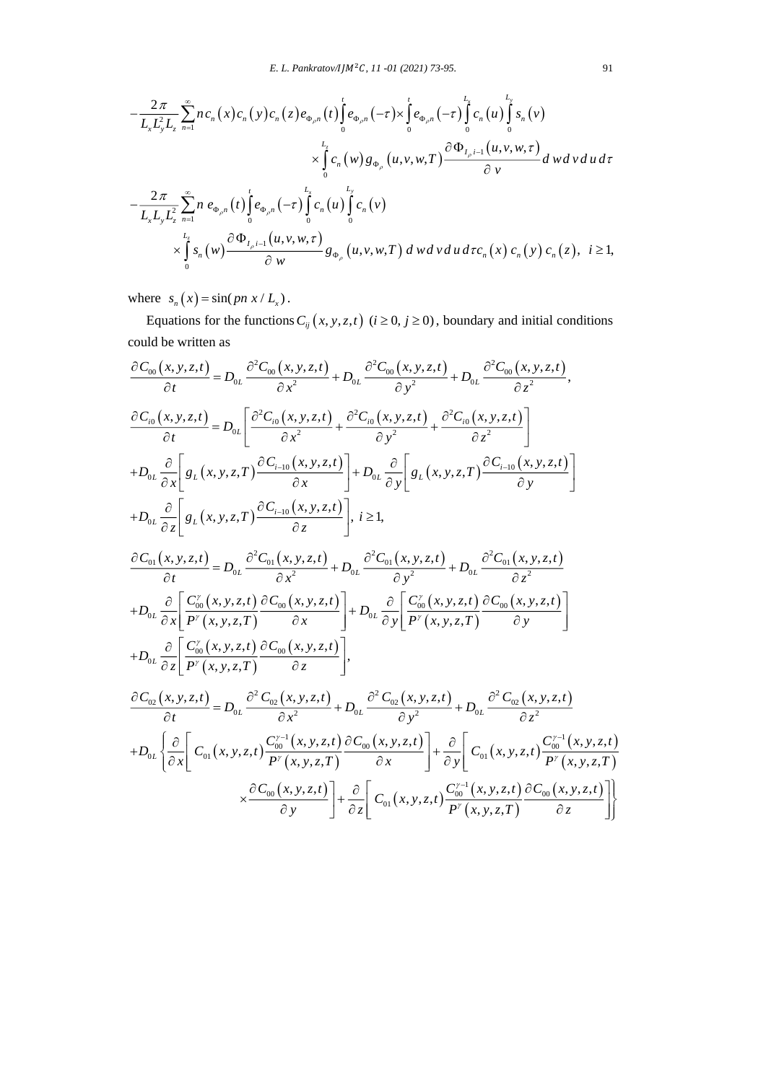$$
-\frac{2\pi}{L_{x}L_{y}^{2}L_{z}}\sum_{n=1}^{\infty}nc_{n}(x)c_{n}(y)c_{n}(z)e_{\Phi_{\rho n}}(t)\int_{0}^{t}e_{\Phi_{\rho n}}(-\tau)\times\int_{0}^{L_{z}}e_{\Phi_{\rho n}}(-\tau)\int_{0}^{L_{x}}c_{n}(u)\int_{0}^{L_{y}}s_{n}(v) \times\int_{0}^{L_{z}}c_{n}(w)g_{\Phi_{\rho}}(u,v,w,T)\frac{\partial\Phi_{I_{\rho}i-1}(u,v,w,\tau)}{\partial v}dwdvdud\tau -\frac{2\pi}{L_{x}L_{y}L_{z}^{2}}\sum_{n=1}^{\infty}n e_{\Phi_{\rho n}}(t)\int_{0}^{t}e_{\Phi_{\rho n}}(-\tau)\int_{0}^{L_{x}}c_{n}(u)\int_{0}^{L_{y}}c_{n}(v) \times\int_{0}^{L_{z}}s_{n}(w)\frac{\partial\Phi_{I_{\rho}i-1}(u,v,w,\tau)}{\partial w}g_{\Phi_{\rho}}(u,v,w,T) dwdvdud\tau c_{n}(x)c_{n}(y)c_{n}(z), i\geq 1,
$$

where  $s_n(x) = \sin(p n x / L_x)$ .

Equations for the functions  $C_{ij}(x, y, z, t)$  ( $i \ge 0, j \ge 0$ ), boundary and initial conditions could be written as

$$
\frac{\partial C_{00}(x,y,z,t)}{\partial t} = D_{0L} \frac{\partial^2 C_{00}(x,y,z,t)}{\partial x^2} + D_{0L} \frac{\partial^2 C_{00}(x,y,z,t)}{\partial y^2} + D_{0L} \frac{\partial^2 C_{00}(x,y,z,t)}{\partial z^2},
$$
\n
$$
\frac{\partial C_{i0}(x,y,z,t)}{\partial t} = D_{0L} \left[ \frac{\partial^2 C_{i0}(x,y,z,t)}{\partial x^2} + \frac{\partial^2 C_{i0}(x,y,z,t)}{\partial y^2} + \frac{\partial^2 C_{i0}(x,y,z,t)}{\partial z^2} \right]
$$
\n
$$
+ D_{0L} \frac{\partial}{\partial x} \left[ g_L(x,y,z,T) \frac{\partial C_{i-10}(x,y,z,t)}{\partial x} \right] + D_{0L} \frac{\partial}{\partial y} \left[ g_L(x,y,z,T) \frac{\partial C_{i-10}(x,y,z,t)}{\partial y} \right]
$$
\n
$$
+ D_{0L} \frac{\partial}{\partial z} \left[ g_L(x,y,z,T) \frac{\partial C_{i-10}(x,y,z,t)}{\partial z} \right], i \ge 1,
$$
\n
$$
\frac{\partial C_{01}(x,y,z,t)}{\partial t} = D_{0L} \frac{\partial^2 C_{01}(x,y,z,t)}{\partial x^2} + D_{0L} \frac{\partial^2 C_{01}(x,y,z,t)}{\partial y^2} + D_{0L} \frac{\partial^2 C_{01}(x,y,z,t)}{\partial z^2}
$$
\n
$$
+ D_{0L} \frac{\partial}{\partial x} \left[ \frac{C_{00}^{\prime\prime}(x,y,z,t)}{P^{\prime\prime}(x,y,z,T)} \frac{\partial C_{00}(x,y,z,t)}{\partial x} \right] + D_{0L} \frac{\partial}{\partial y} \left[ \frac{C_{00}^{\prime\prime}(x,y,z,t)}{P^{\prime\prime}(x,y,z,T)} \frac{\partial C_{00}(x,y,z,t)}{\partial y} \right]
$$
\n
$$
+ D_{0L} \frac{\partial}{\partial z} \left[ \frac{C_{00}^{\prime\prime}(x,y,z,t)}{P^{\prime\prime}(x,y,z,T)} \frac{\partial C_{00}(x,y,z,t)}{\partial z} \right],
$$
\n
$$
\frac{\partial C_{02}(x,y,z,t)}{\partial t} = D_{0L} \frac{\partial^2 C_{0
$$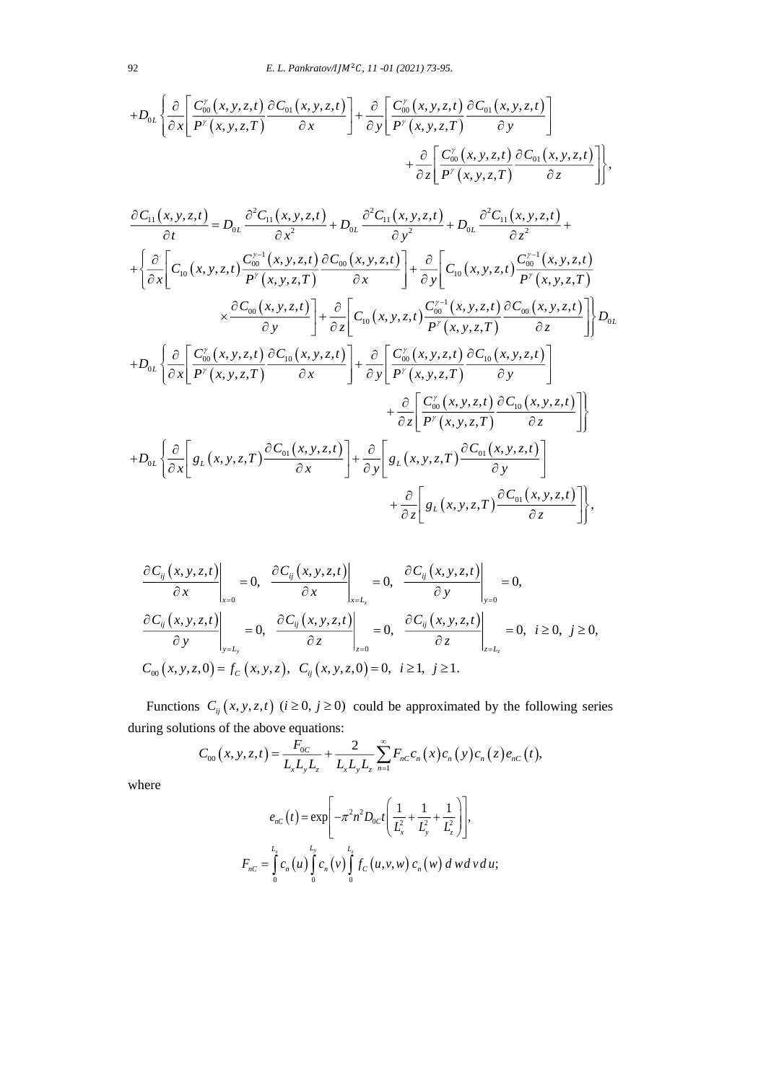$$
+D_{0L}\left\{\frac{\partial}{\partial x}\left[\frac{C'_{0}(x,y,z,t)}{P'(x,y,z,T)}\frac{\partial C_{01}(x,y,z,t)}{\partial x}\right]+\frac{\partial}{\partial y}\left[\frac{C'_{00}(x,y,z,t)}{P'(x,y,z,T)}\frac{\partial C_{01}(x,y,z,t)}{\partial y}\right]+\frac{\partial}{\partial z}\left[\frac{C'_{00}(x,y,z,t)}{P'(x,y,z,T)}\frac{\partial C_{01}(x,y,z,t)}{\partial z}\right]+\frac{\partial}{\partial z}\left[\frac{C'_{00}(x,y,z,t)}{P'(x,y,z,T)}\frac{\partial C_{01}(x,y,z,t)}{\partial z}\right],
$$
  

$$
\frac{\partial C_{11}(x,y,z,t)}{\partial t}=D_{0L}\frac{\partial^2 C_{11}(x,y,z,t)}{\partial x^2}+D_{0L}\frac{\partial^2 C_{11}(x,y,z,t)}{\partial y^2}+D_{0L}\frac{\partial^2 C_{11}(x,y,z,t)}{\partial z^2}+\frac{\partial}{\partial z}\left[C_{10}(x,y,z,t)\frac{C'^{-1}_{00}(x,y,z,t)}{P'(x,y,z,T)}\right]+\frac{\partial}{\partial y}\left[C_{10}(x,y,z,t)\frac{C'^{-1}_{00}(x,y,z,t)}{P'(x,y,z,T)}\frac{\partial C_{00}(x,y,z,t)}{\partial z}\right]+\frac{\partial}{\partial z}\left[C_{10}(x,y,z,t)\frac{C'^{-1}_{00}(x,y,z,t)}{P'(x,y,z,T)}\frac{\partial C_{00}(x,y,z,t)}{\partial z}\right]\right\}D_{0L}
$$

$$
+D_{0L}\left\{\frac{\partial}{\partial x}\left[\frac{C'_{00}(x,y,z,t)}{P'(x,y,z,T)}\frac{\partial C_{10}(x,y,z,t)}{\partial x}\right]+\frac{\partial}{\partial y}\left[\frac{C'_{00}(x,y,z,t)}{P'(x,y,z,T)}\frac{\partial C_{10}(x,y,z,t)}{\partial y}\right]+\frac{\partial}{\partial z}\left[\frac{C'_{00}(x,y,z,t)}{P'(x,y,z,T)}\frac{\partial C_{01}(x,y,z,t)}{\partial z}\right]\right\}+D_{0L}\left\{\frac{\partial}{\partial x}\left[g_{L}(x,y,z,T)\frac{\partial C_{01}(x,y,z,t)}{\partial x}\right]+\frac{\partial}{\partial z}\left[g_{L}(x,y,z,T)\frac{\partial C_{01}(x,y,z,t)}{\partial z}\right]\right\},
$$

$$
\frac{\partial C_{ij}(x, y, z, t)}{\partial x}\Big|_{x=0} = 0, \quad \frac{\partial C_{ij}(x, y, z, t)}{\partial x}\Big|_{x=L_x} = 0, \quad \frac{\partial C_{ij}(x, y, z, t)}{\partial y}\Big|_{y=0} = 0,
$$
\n
$$
\frac{\partial C_{ij}(x, y, z, t)}{\partial y}\Big|_{y=L_y} = 0, \quad \frac{\partial C_{ij}(x, y, z, t)}{\partial z}\Big|_{z=0} = 0, \quad \frac{\partial C_{ij}(x, y, z, t)}{\partial z}\Big|_{z=L_z} = 0, \quad i \ge 0, \quad j \ge 0,
$$
\n
$$
C_{00}(x, y, z, 0) = f_C(x, y, z), \quad C_{ij}(x, y, z, 0) = 0, \quad i \ge 1, \quad j \ge 1.
$$

Functions  $C_{ij}(x, y, z, t)$  ( $i \ge 0$ ,  $j \ge 0$ ) could be approximated by the following series

during solutions of the above equations:  
\n
$$
C_{00}(x, y, z, t) = \frac{F_{0C}}{L_x L_y L_z} + \frac{2}{L_x L_y L_z} \sum_{n=1}^{\infty} F_{nC} c_n(x) c_n(x) c_n(x) e_{nC}(t),
$$

where

$$
e_{nC}(t) = \exp\left[-\pi^2 n^2 D_{0C} t \left(\frac{1}{L_x^2} + \frac{1}{L_y^2} + \frac{1}{L_z^2}\right)\right],
$$
  

$$
F_{nC} = \int_0^{L_x} c_n(u) \int_0^{L_y} c_n(v) \int_0^{L_z} f_C(u, v, w) c_n(w) dwdv du;
$$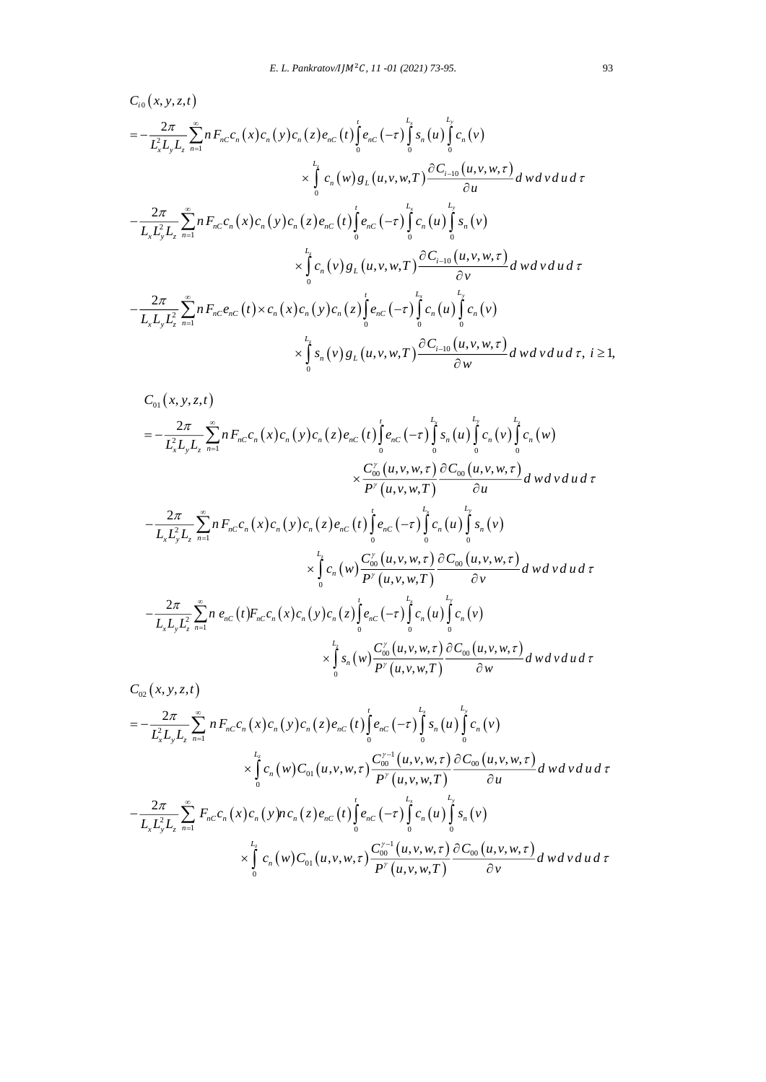$$
C_{i0}(x, y, z, t)
$$
\n
$$
= -\frac{2\pi}{L_{x}^{2}L_{y}L_{z}} \sum_{n=1}^{\infty} n F_{nC} c_{n}(x) c_{n}(y) c_{n}(z) e_{nC}(t) \int_{0}^{t} e_{nC}(-\tau) \int_{0}^{L_{x}} s_{n}(u) \int_{0}^{L_{y}} c_{n}(v)
$$
\n
$$
\times \int_{0}^{L_{z}} c_{n}(w) g_{L}(u, v, w, T) \frac{\partial C_{i-10}(u, v, w, \tau)}{\partial u} dwdv du d\tau
$$
\n
$$
- \frac{2\pi}{L_{x}L_{y}^{2}L_{z}} \sum_{n=1}^{\infty} n F_{nC} c_{n}(x) c_{n}(y) c_{n}(z) e_{nC}(t) \int_{0}^{t} e_{nC}(-\tau) \int_{0}^{L_{x}} c_{n}(u) \int_{0}^{L_{y}} s_{n}(v)
$$
\n
$$
\times \int_{0}^{L_{z}} c_{n}(v) g_{L}(u, v, w, T) \frac{\partial C_{i-10}(u, v, w, \tau)}{\partial v} dwdv du d\tau
$$
\n
$$
- \frac{2\pi}{L_{x}L_{y}L_{z}^{2}} \sum_{n=1}^{\infty} n F_{nC} e_{nC}(t) \times c_{n}(x) c_{n}(y) c_{n}(z) \int_{0}^{t} e_{nC}(-\tau) \int_{0}^{L_{x}} c_{n}(u) \int_{0}^{L_{y}} c_{n}(v)
$$
\n
$$
\times \int_{0}^{L_{z}} s_{n}(v) g_{L}(u, v, w, T) \frac{\partial C_{i-10}(u, v, w, \tau)}{\partial w} dwdv du d\tau, i \ge 1,
$$

$$
C_{01}(x, y, z, t)
$$
\n
$$
= -\frac{2\pi}{L_{x}^{2}L_{y}L_{z}} \sum_{n=1}^{\infty} n F_{nC}c_{n}(x)c_{n}(y)c_{n}(z)e_{nC}(t) \int_{0}^{t} e_{nC}(-\tau) \int_{0}^{L_{x}} s_{n}(u) \int_{0}^{L_{y}} c_{n}(v) \int_{0}^{L_{z}} c_{n}(w)
$$
\n
$$
\times \frac{C_{00}^{y}(u, v, w, \tau)}{P^{y}(u, v, w, \tau)} \frac{\partial C_{00}(u, v, w, \tau)}{\partial u} d w d v d u d \tau
$$
\n
$$
-\frac{2\pi}{L_{x}L_{y}^{2}L_{z}} \sum_{n=1}^{\infty} n F_{nC}c_{n}(x)c_{n}(y)c_{n}(z)e_{nC}(t) \int_{0}^{t} e_{nC}(-\tau) \int_{0}^{L_{x}} c_{n}(u) \int_{0}^{L_{x}} s_{n}(v)
$$
\n
$$
\times \int_{0}^{L_{z}} c_{n}(w) \frac{C_{00}^{y}(u, v, w, \tau)}{P^{y}(u, v, w, \tau)} \frac{\partial C_{00}(u, v, w, \tau)}{\partial v} d w d v d u d \tau
$$
\n
$$
-\frac{2\pi}{L_{x}L_{y}L_{z}^{2}} \sum_{n=1}^{\infty} n e_{nC}(t) F_{nC}c_{n}(x) c_{n}(y) c_{n}(z) \int_{0}^{t} e_{nC}(-\tau) \int_{0}^{L_{x}} c_{n}(u) \int_{0}^{L_{x}} c_{n}(v)
$$
\n
$$
\times \int_{0}^{L_{z}} s_{n}(w) \frac{C_{00}^{y}(u, v, w, \tau)}{P^{y}(u, v, w, \tau)} \frac{\partial C_{00}(u, v, w, \tau)}{\partial w} d w d v d u d \tau
$$

$$
C_{02}(x, y, z, t)
$$
\n
$$
= -\frac{2\pi}{L_x^2 L_y L_z} \sum_{n=1}^{\infty} n F_{nC} c_n(x) c_n(y) c_n(z) e_{nC}(t) \int_0^t e_{nC}(-\tau) \int_0^{L_x} s_n(u) \int_0^{L_y} c_n(v)
$$
\n
$$
\times \int_0^{L_x} c_n(w) C_{01}(u, v, w, \tau) \frac{C_{00}^{y-1}(u, v, w, \tau)}{P'(u, v, w, \tau)} \frac{\partial C_{00}(u, v, w, \tau)}{\partial u} dwdv du d\tau
$$
\n
$$
-\frac{2\pi}{L_x L_y^2 L_z} \sum_{n=1}^{\infty} F_{nC} c_n(x) c_n(y) n c_n(z) e_{nC}(t) \int_0^t e_{nC}(-\tau) \int_0^{L_x} c_n(u) \int_0^{L_y} s_n(v)
$$
\n
$$
\times \int_0^{L_x} c_n(w) C_{01}(u, v, w, \tau) \frac{C_{00}^{y-1}(u, v, w, \tau)}{P'(u, v, w, \tau)} \frac{\partial C_{00}(u, v, w, \tau)}{\partial v} dwdv du d\tau
$$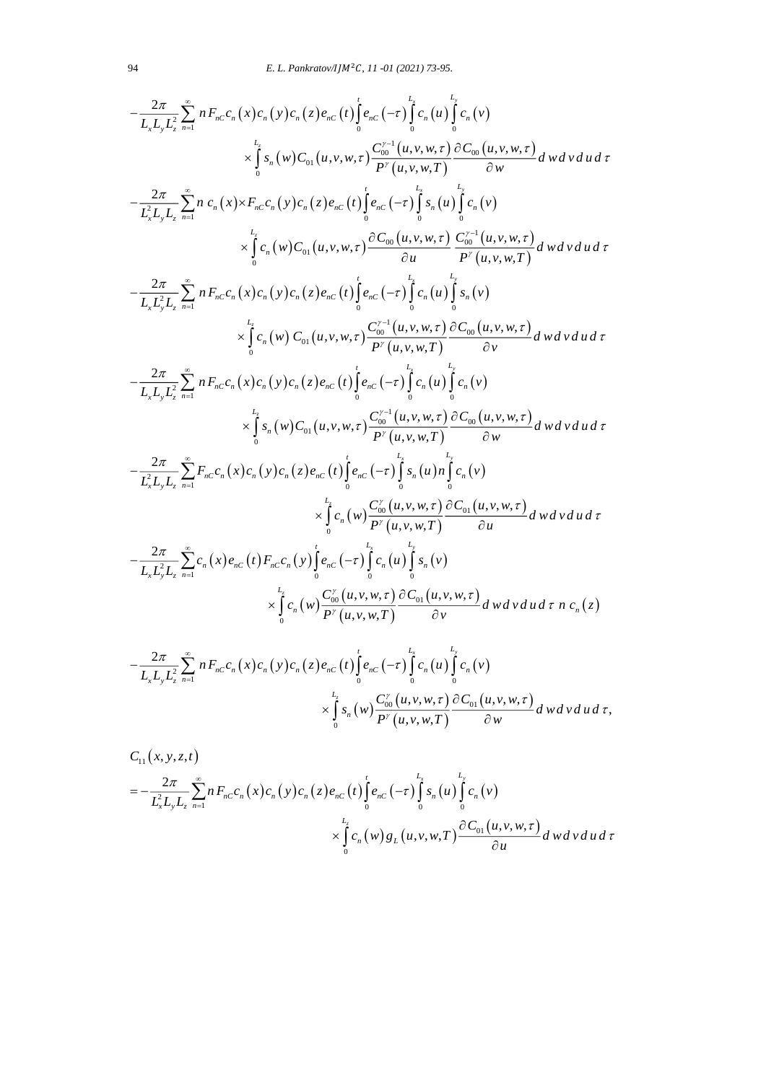$$
-\frac{2\pi}{L_{x}L_{y}L_{z}^{2}} \sum_{n=1}^{\infty} n F_{nC}c_{n}(x)c_{n}(y)c_{n}(z)e_{nC}(t) \int_{0}^{t} e_{nC}(-\tau) \int_{0}^{t} c_{n}(u) \int_{0}^{t} c_{n}(v)
$$
\n
$$
\times \int_{0}^{L_{x}} s_{n}(w)C_{01}(u,v,w,\tau) \frac{C_{00}^{r-1}(u,v,w,\tau)}{P'(u,v,w,\tau)} \frac{\partial C_{00}(u,v,w,\tau)}{\partial w} dwdvd\tau
$$
\n
$$
-\frac{2\pi}{L_{x}L_{y}L_{z}} \sum_{n=1}^{\infty} n c_{n}(x) \times F_{nC}c_{n}(y)c_{n}(z)e_{nC}(t) \int_{0}^{t} e_{nC}(-\tau) \int_{0}^{t} s_{n}(u) \int_{0}^{t} c_{n}(v)
$$
\n
$$
\times \int_{0}^{t} c_{n}(w)C_{01}(u,v,w,\tau) \frac{\partial C_{00}(u,v,w,\tau)}{\partial u} \frac{C_{00}^{r-1}(u,v,w,\tau)}{P'(u,v,w,\tau)} dwdvd\tau
$$
\n
$$
-\frac{2\pi}{L_{x}L_{y}^{2}L_{z}} \sum_{n=1}^{\infty} n F_{nC}c_{n}(x)c_{n}(y)c_{n}(z)e_{nC}(t) \int_{0}^{t} e_{nC}(-\tau) \int_{0}^{t} c_{n}(u) \int_{0}^{t} s_{n}(v)
$$
\n
$$
\times \int_{0}^{t} c_{n}(w) C_{01}(u,v,w,\tau) \frac{\partial C_{00}^{r-1}(u,v,w,\tau)}{\partial v} \frac{\partial C_{00}(u,v,w,\tau)}{\partial v} dwdvd\tau
$$
\n
$$
-\frac{2\pi}{L_{x}L_{y}^{2}L_{z}^{2}} \sum_{n=1}^{\infty} n F_{nC}c_{n}(x)c_{n}(y)c_{n}(z)e_{nC}(t) \int_{0}^{t} e_{nC}(-\tau) \int_{0}^{t} c_{n}(u) \int_{0}^{t} c_{n}(v)
$$
\n
$$
\times \int_{0}^{t} c_{n}(w) C_{01}(u,v,w,\tau) \frac{\partial
$$

$$
\times \int\limits_{0}^{L} s_n(w) \frac{C_{00}^{\gamma}(u,v,w,\tau)}{P^{\gamma}(u,v,w,\tau)} \frac{\partial C_{01}(u,v,w,\tau)}{\partial w} dwdvdud\tau,
$$

$$
C_{11}(x, y, z, t)
$$
\n
$$
= -\frac{2\pi}{L_x^2 L_y L_z} \sum_{n=1}^{\infty} n F_{nC} c_n(x) c_n(x) c_n(x) c_n(z) e_{nC}(t) \int_0^t e_{nC}(-\tau) \int_0^{L_x} s_n(u) \int_0^{L_y} c_n(v)
$$
\n
$$
\times \int_0^{L_x} c_n(w) g_L(u, v, w, T) \frac{\partial C_{01}(u, v, w, \tau)}{\partial u} dv dv du d\tau
$$